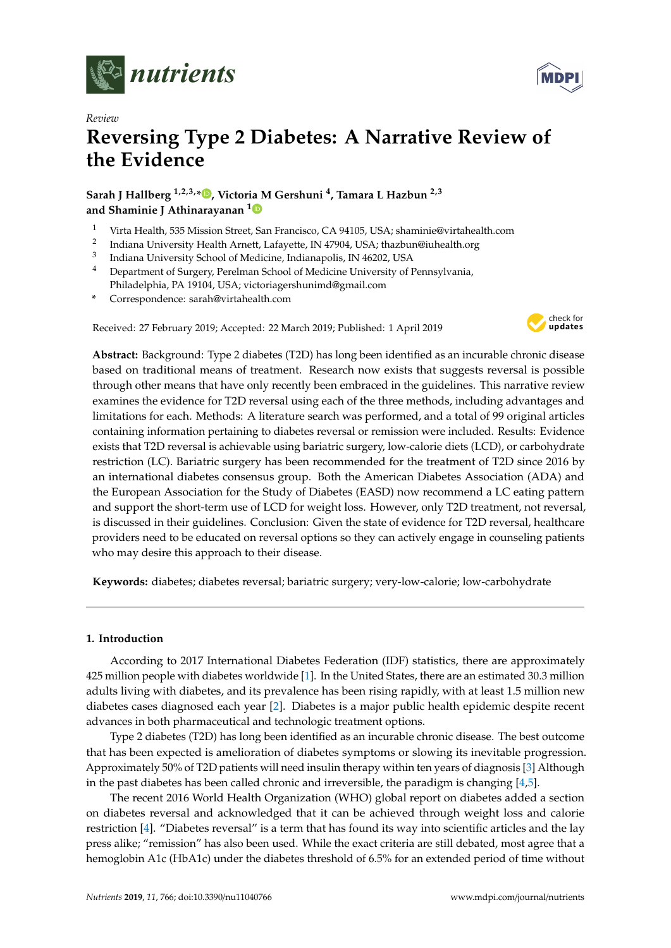

*Review*



# **Reversing Type 2 Diabetes: A Narrative Review of the Evidence**

**Sarah J Hallberg 1,2,3,\* [,](https://orcid.org/0000-0002-8553-8293) Victoria M Gershuni <sup>4</sup> , Tamara L Hazbun 2,3 and Shaminie J Athinarayanan [1](https://orcid.org/0000-0001-5427-6748)**

- <sup>1</sup> Virta Health, 535 Mission Street, San Francisco, CA 94105, USA; shaminie@virtahealth.com
- 2 Indiana University Health Arnett, Lafayette, IN 47904, USA; thazbun@iuhealth.org
- 3 Indiana University School of Medicine, Indianapolis, IN 46202, USA
- <sup>4</sup> Department of Surgery, Perelman School of Medicine University of Pennsylvania, Philadelphia, PA 19104, USA; victoriagershunimd@gmail.com
- **\*** Correspondence: sarah@virtahealth.com

Received: 27 February 2019; Accepted: 22 March 2019; Published: 1 April 2019



**Abstract:** Background: Type 2 diabetes (T2D) has long been identified as an incurable chronic disease based on traditional means of treatment. Research now exists that suggests reversal is possible through other means that have only recently been embraced in the guidelines. This narrative review examines the evidence for T2D reversal using each of the three methods, including advantages and limitations for each. Methods: A literature search was performed, and a total of 99 original articles containing information pertaining to diabetes reversal or remission were included. Results: Evidence exists that T2D reversal is achievable using bariatric surgery, low-calorie diets (LCD), or carbohydrate restriction (LC). Bariatric surgery has been recommended for the treatment of T2D since 2016 by an international diabetes consensus group. Both the American Diabetes Association (ADA) and the European Association for the Study of Diabetes (EASD) now recommend a LC eating pattern and support the short-term use of LCD for weight loss. However, only T2D treatment, not reversal, is discussed in their guidelines. Conclusion: Given the state of evidence for T2D reversal, healthcare providers need to be educated on reversal options so they can actively engage in counseling patients who may desire this approach to their disease.

**Keywords:** diabetes; diabetes reversal; bariatric surgery; very-low-calorie; low-carbohydrate

## **1. Introduction**

According to 2017 International Diabetes Federation (IDF) statistics, there are approximately 425 million people with diabetes worldwide [\[1\]](#page-9-0). In the United States, there are an estimated 30.3 million adults living with diabetes, and its prevalence has been rising rapidly, with at least 1.5 million new diabetes cases diagnosed each year [\[2\]](#page-9-1). Diabetes is a major public health epidemic despite recent advances in both pharmaceutical and technologic treatment options.

Type 2 diabetes (T2D) has long been identified as an incurable chronic disease. The best outcome that has been expected is amelioration of diabetes symptoms or slowing its inevitable progression. Approximately 50% of T2D patients will need insulin therapy within ten years of diagnosis [\[3\]](#page-10-0) Although in the past diabetes has been called chronic and irreversible, the paradigm is changing  $[4,5]$  $[4,5]$ .

The recent 2016 World Health Organization (WHO) global report on diabetes added a section on diabetes reversal and acknowledged that it can be achieved through weight loss and calorie restriction [\[4\]](#page-10-1). "Diabetes reversal" is a term that has found its way into scientific articles and the lay press alike; "remission" has also been used. While the exact criteria are still debated, most agree that a hemoglobin A1c (HbA1c) under the diabetes threshold of 6.5% for an extended period of time without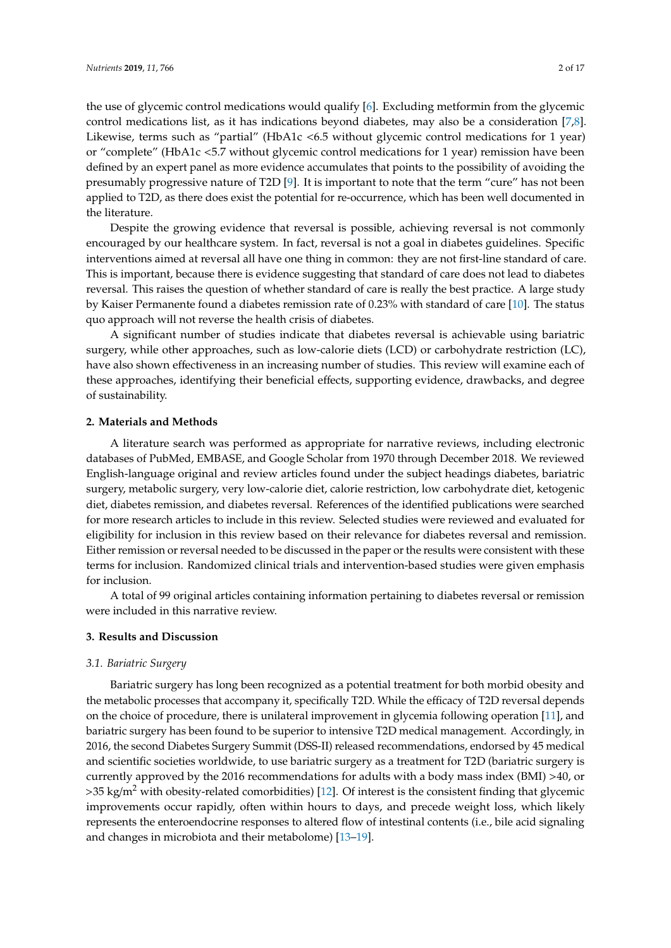the use of glycemic control medications would qualify [\[6\]](#page-10-3). Excluding metformin from the glycemic control medications list, as it has indications beyond diabetes, may also be a consideration [\[7,](#page-10-4)[8\]](#page-10-5). Likewise, terms such as "partial" (HbA1c <6.5 without glycemic control medications for 1 year) or "complete" (HbA1c <5.7 without glycemic control medications for 1 year) remission have been defined by an expert panel as more evidence accumulates that points to the possibility of avoiding the presumably progressive nature of T2D [\[9\]](#page-10-6). It is important to note that the term "cure" has not been applied to T2D, as there does exist the potential for re-occurrence, which has been well documented in the literature.

Despite the growing evidence that reversal is possible, achieving reversal is not commonly encouraged by our healthcare system. In fact, reversal is not a goal in diabetes guidelines. Specific interventions aimed at reversal all have one thing in common: they are not first-line standard of care. This is important, because there is evidence suggesting that standard of care does not lead to diabetes reversal. This raises the question of whether standard of care is really the best practice. A large study by Kaiser Permanente found a diabetes remission rate of 0.23% with standard of care [\[10\]](#page-10-7). The status quo approach will not reverse the health crisis of diabetes.

A significant number of studies indicate that diabetes reversal is achievable using bariatric surgery, while other approaches, such as low-calorie diets (LCD) or carbohydrate restriction (LC), have also shown effectiveness in an increasing number of studies. This review will examine each of these approaches, identifying their beneficial effects, supporting evidence, drawbacks, and degree of sustainability.

#### **2. Materials and Methods**

A literature search was performed as appropriate for narrative reviews, including electronic databases of PubMed, EMBASE, and Google Scholar from 1970 through December 2018. We reviewed English-language original and review articles found under the subject headings diabetes, bariatric surgery, metabolic surgery, very low-calorie diet, calorie restriction, low carbohydrate diet, ketogenic diet, diabetes remission, and diabetes reversal. References of the identified publications were searched for more research articles to include in this review. Selected studies were reviewed and evaluated for eligibility for inclusion in this review based on their relevance for diabetes reversal and remission. Either remission or reversal needed to be discussed in the paper or the results were consistent with these terms for inclusion. Randomized clinical trials and intervention-based studies were given emphasis for inclusion.

A total of 99 original articles containing information pertaining to diabetes reversal or remission were included in this narrative review.

## **3. Results and Discussion**

#### *3.1. Bariatric Surgery*

Bariatric surgery has long been recognized as a potential treatment for both morbid obesity and the metabolic processes that accompany it, specifically T2D. While the efficacy of T2D reversal depends on the choice of procedure, there is unilateral improvement in glycemia following operation [\[11\]](#page-10-8), and bariatric surgery has been found to be superior to intensive T2D medical management. Accordingly, in 2016, the second Diabetes Surgery Summit (DSS-II) released recommendations, endorsed by 45 medical and scientific societies worldwide, to use bariatric surgery as a treatment for T2D (bariatric surgery is currently approved by the 2016 recommendations for adults with a body mass index (BMI) >40, or  $>35$  kg/m<sup>2</sup> with obesity-related comorbidities) [\[12\]](#page-10-9). Of interest is the consistent finding that glycemic improvements occur rapidly, often within hours to days, and precede weight loss, which likely represents the enteroendocrine responses to altered flow of intestinal contents (i.e., bile acid signaling and changes in microbiota and their metabolome) [\[13](#page-10-10)[–19\]](#page-10-11).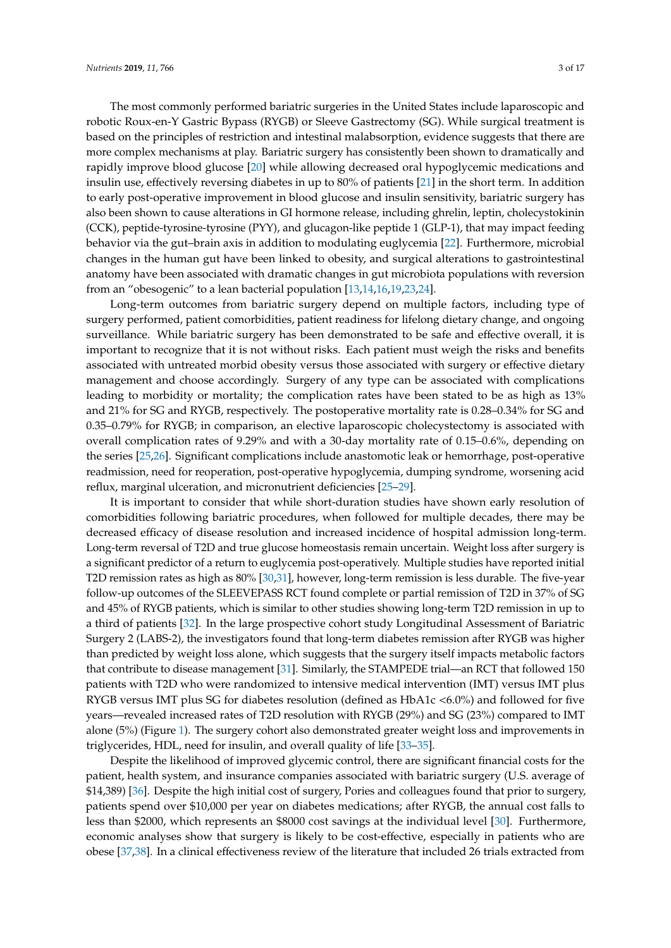The most commonly performed bariatric surgeries in the United States include laparoscopic and robotic Roux-en-Y Gastric Bypass (RYGB) or Sleeve Gastrectomy (SG). While surgical treatment is based on the principles of restriction and intestinal malabsorption, evidence suggests that there are more complex mechanisms at play. Bariatric surgery has consistently been shown to dramatically and rapidly improve blood glucose [\[20\]](#page-10-12) while allowing decreased oral hypoglycemic medications and insulin use, effectively reversing diabetes in up to 80% of patients [\[21\]](#page-10-13) in the short term. In addition to early post-operative improvement in blood glucose and insulin sensitivity, bariatric surgery has also been shown to cause alterations in GI hormone release, including ghrelin, leptin, cholecystokinin (CCK), peptide-tyrosine-tyrosine (PYY), and glucagon-like peptide 1 (GLP-1), that may impact feeding behavior via the gut–brain axis in addition to modulating euglycemia [\[22\]](#page-11-0). Furthermore, microbial changes in the human gut have been linked to obesity, and surgical alterations to gastrointestinal anatomy have been associated with dramatic changes in gut microbiota populations with reversion from an "obesogenic" to a lean bacterial population [\[13,](#page-10-10)[14,](#page-10-14)[16](#page-10-15)[,19](#page-10-11)[,23](#page-11-1)[,24\]](#page-11-2).

Long-term outcomes from bariatric surgery depend on multiple factors, including type of surgery performed, patient comorbidities, patient readiness for lifelong dietary change, and ongoing surveillance. While bariatric surgery has been demonstrated to be safe and effective overall, it is important to recognize that it is not without risks. Each patient must weigh the risks and benefits associated with untreated morbid obesity versus those associated with surgery or effective dietary management and choose accordingly. Surgery of any type can be associated with complications leading to morbidity or mortality; the complication rates have been stated to be as high as 13% and 21% for SG and RYGB, respectively. The postoperative mortality rate is 0.28–0.34% for SG and 0.35–0.79% for RYGB; in comparison, an elective laparoscopic cholecystectomy is associated with overall complication rates of 9.29% and with a 30-day mortality rate of 0.15–0.6%, depending on the series [\[25](#page-11-3)[,26\]](#page-11-4). Significant complications include anastomotic leak or hemorrhage, post-operative readmission, need for reoperation, post-operative hypoglycemia, dumping syndrome, worsening acid reflux, marginal ulceration, and micronutrient deficiencies [\[25](#page-11-3)[–29\]](#page-11-5).

It is important to consider that while short-duration studies have shown early resolution of comorbidities following bariatric procedures, when followed for multiple decades, there may be decreased efficacy of disease resolution and increased incidence of hospital admission long-term. Long-term reversal of T2D and true glucose homeostasis remain uncertain. Weight loss after surgery is a significant predictor of a return to euglycemia post-operatively. Multiple studies have reported initial T2D remission rates as high as 80% [\[30](#page-11-6)[,31\]](#page-11-7), however, long-term remission is less durable. The five-year follow-up outcomes of the SLEEVEPASS RCT found complete or partial remission of T2D in 37% of SG and 45% of RYGB patients, which is similar to other studies showing long-term T2D remission in up to a third of patients [\[32\]](#page-11-8). In the large prospective cohort study Longitudinal Assessment of Bariatric Surgery 2 (LABS-2), the investigators found that long-term diabetes remission after RYGB was higher than predicted by weight loss alone, which suggests that the surgery itself impacts metabolic factors that contribute to disease management [\[31\]](#page-11-7). Similarly, the STAMPEDE trial—an RCT that followed 150 patients with T2D who were randomized to intensive medical intervention (IMT) versus IMT plus RYGB versus IMT plus SG for diabetes resolution (defined as HbA1c <6.0%) and followed for five years—revealed increased rates of T2D resolution with RYGB (29%) and SG (23%) compared to IMT alone (5%) (Figure [1\)](#page-8-0). The surgery cohort also demonstrated greater weight loss and improvements in triglycerides, HDL, need for insulin, and overall quality of life [\[33](#page-11-9)[–35\]](#page-11-10).

Despite the likelihood of improved glycemic control, there are significant financial costs for the patient, health system, and insurance companies associated with bariatric surgery (U.S. average of \$14,389) [\[36\]](#page-11-11). Despite the high initial cost of surgery, Pories and colleagues found that prior to surgery, patients spend over \$10,000 per year on diabetes medications; after RYGB, the annual cost falls to less than \$2000, which represents an \$8000 cost savings at the individual level [\[30\]](#page-11-6). Furthermore, economic analyses show that surgery is likely to be cost-effective, especially in patients who are obese [\[37](#page-11-12)[,38\]](#page-11-13). In a clinical effectiveness review of the literature that included 26 trials extracted from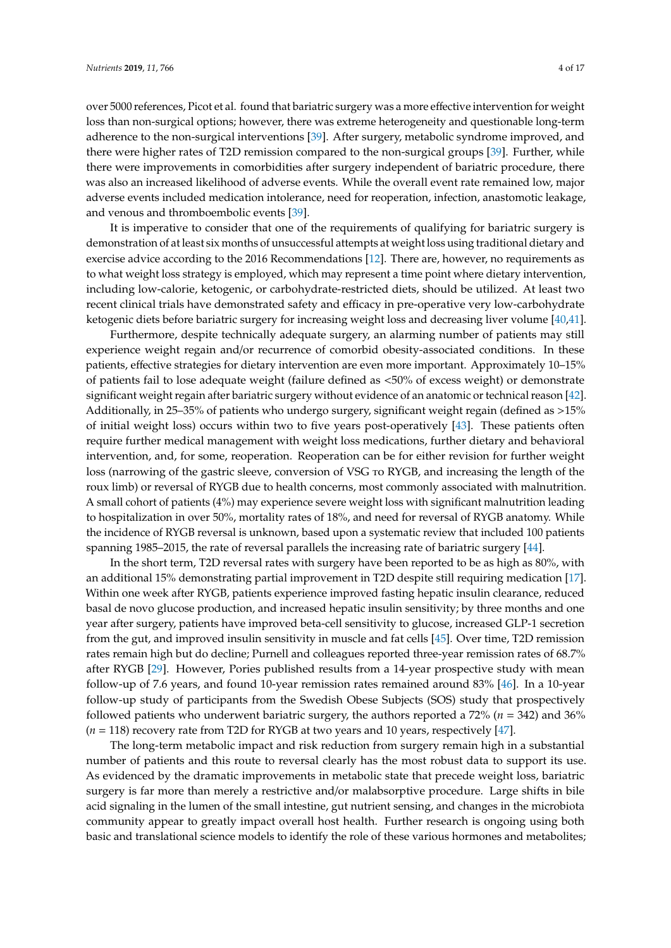over 5000 references, Picot et al. found that bariatric surgery was a more effective intervention for weight loss than non-surgical options; however, there was extreme heterogeneity and questionable long-term adherence to the non-surgical interventions [\[39\]](#page-11-14). After surgery, metabolic syndrome improved, and there were higher rates of T2D remission compared to the non-surgical groups [\[39\]](#page-11-14). Further, while there were improvements in comorbidities after surgery independent of bariatric procedure, there was also an increased likelihood of adverse events. While the overall event rate remained low, major adverse events included medication intolerance, need for reoperation, infection, anastomotic leakage, and venous and thromboembolic events [\[39\]](#page-11-14).

It is imperative to consider that one of the requirements of qualifying for bariatric surgery is demonstration of at least six months of unsuccessful attempts at weight loss using traditional dietary and exercise advice according to the 2016 Recommendations [\[12\]](#page-10-9). There are, however, no requirements as to what weight loss strategy is employed, which may represent a time point where dietary intervention, including low-calorie, ketogenic, or carbohydrate-restricted diets, should be utilized. At least two recent clinical trials have demonstrated safety and efficacy in pre-operative very low-carbohydrate ketogenic diets before bariatric surgery for increasing weight loss and decreasing liver volume [\[40](#page-11-15)[,41\]](#page-12-0).

Furthermore, despite technically adequate surgery, an alarming number of patients may still experience weight regain and/or recurrence of comorbid obesity-associated conditions. In these patients, effective strategies for dietary intervention are even more important. Approximately 10–15% of patients fail to lose adequate weight (failure defined as <50% of excess weight) or demonstrate significant weight regain after bariatric surgery without evidence of an anatomic or technical reason [\[42\]](#page-12-1). Additionally, in 25–35% of patients who undergo surgery, significant weight regain (defined as >15% of initial weight loss) occurs within two to five years post-operatively [\[43\]](#page-12-2). These patients often require further medical management with weight loss medications, further dietary and behavioral intervention, and, for some, reoperation. Reoperation can be for either revision for further weight loss (narrowing of the gastric sleeve, conversion of VSG to RYGB, and increasing the length of the roux limb) or reversal of RYGB due to health concerns, most commonly associated with malnutrition. A small cohort of patients (4%) may experience severe weight loss with significant malnutrition leading to hospitalization in over 50%, mortality rates of 18%, and need for reversal of RYGB anatomy. While the incidence of RYGB reversal is unknown, based upon a systematic review that included 100 patients spanning 1985–2015, the rate of reversal parallels the increasing rate of bariatric surgery [\[44\]](#page-12-3).

In the short term, T2D reversal rates with surgery have been reported to be as high as 80%, with an additional 15% demonstrating partial improvement in T2D despite still requiring medication [\[17\]](#page-10-16). Within one week after RYGB, patients experience improved fasting hepatic insulin clearance, reduced basal de novo glucose production, and increased hepatic insulin sensitivity; by three months and one year after surgery, patients have improved beta-cell sensitivity to glucose, increased GLP-1 secretion from the gut, and improved insulin sensitivity in muscle and fat cells [\[45\]](#page-12-4). Over time, T2D remission rates remain high but do decline; Purnell and colleagues reported three-year remission rates of 68.7% after RYGB [\[29\]](#page-11-5). However, Pories published results from a 14-year prospective study with mean follow-up of 7.6 years, and found 10-year remission rates remained around 83% [\[46\]](#page-12-5). In a 10-year follow-up study of participants from the Swedish Obese Subjects (SOS) study that prospectively followed patients who underwent bariatric surgery, the authors reported a 72% (*n* = 342) and 36% (*n* = 118) recovery rate from T2D for RYGB at two years and 10 years, respectively [\[47\]](#page-12-6).

The long-term metabolic impact and risk reduction from surgery remain high in a substantial number of patients and this route to reversal clearly has the most robust data to support its use. As evidenced by the dramatic improvements in metabolic state that precede weight loss, bariatric surgery is far more than merely a restrictive and/or malabsorptive procedure. Large shifts in bile acid signaling in the lumen of the small intestine, gut nutrient sensing, and changes in the microbiota community appear to greatly impact overall host health. Further research is ongoing using both basic and translational science models to identify the role of these various hormones and metabolites;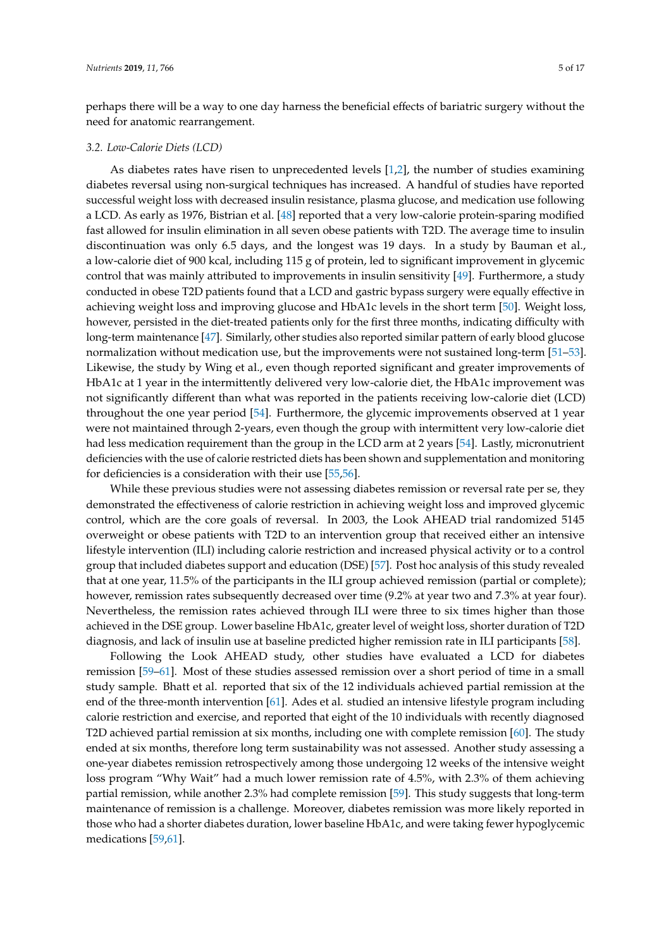perhaps there will be a way to one day harness the beneficial effects of bariatric surgery without the need for anatomic rearrangement.

### *3.2. Low-Calorie Diets (LCD)*

As diabetes rates have risen to unprecedented levels [\[1,](#page-9-0)[2\]](#page-9-1), the number of studies examining diabetes reversal using non-surgical techniques has increased. A handful of studies have reported successful weight loss with decreased insulin resistance, plasma glucose, and medication use following a LCD. As early as 1976, Bistrian et al. [\[48\]](#page-12-7) reported that a very low-calorie protein-sparing modified fast allowed for insulin elimination in all seven obese patients with T2D. The average time to insulin discontinuation was only 6.5 days, and the longest was 19 days. In a study by Bauman et al., a low-calorie diet of 900 kcal, including 115 g of protein, led to significant improvement in glycemic control that was mainly attributed to improvements in insulin sensitivity [\[49\]](#page-12-8). Furthermore, a study conducted in obese T2D patients found that a LCD and gastric bypass surgery were equally effective in achieving weight loss and improving glucose and HbA1c levels in the short term [\[50\]](#page-12-9). Weight loss, however, persisted in the diet-treated patients only for the first three months, indicating difficulty with long-term maintenance [\[47\]](#page-12-6). Similarly, other studies also reported similar pattern of early blood glucose normalization without medication use, but the improvements were not sustained long-term [\[51–](#page-12-10)[53\]](#page-12-11). Likewise, the study by Wing et al., even though reported significant and greater improvements of HbA1c at 1 year in the intermittently delivered very low-calorie diet, the HbA1c improvement was not significantly different than what was reported in the patients receiving low-calorie diet (LCD) throughout the one year period [\[54\]](#page-12-12). Furthermore, the glycemic improvements observed at 1 year were not maintained through 2-years, even though the group with intermittent very low-calorie diet had less medication requirement than the group in the LCD arm at 2 years [\[54\]](#page-12-12). Lastly, micronutrient deficiencies with the use of calorie restricted diets has been shown and supplementation and monitoring for deficiencies is a consideration with their use [\[55](#page-12-13)[,56\]](#page-12-14).

While these previous studies were not assessing diabetes remission or reversal rate per se, they demonstrated the effectiveness of calorie restriction in achieving weight loss and improved glycemic control, which are the core goals of reversal. In 2003, the Look AHEAD trial randomized 5145 overweight or obese patients with T2D to an intervention group that received either an intensive lifestyle intervention (ILI) including calorie restriction and increased physical activity or to a control group that included diabetes support and education (DSE) [\[57\]](#page-12-15). Post hoc analysis of this study revealed that at one year, 11.5% of the participants in the ILI group achieved remission (partial or complete); however, remission rates subsequently decreased over time (9.2% at year two and 7.3% at year four). Nevertheless, the remission rates achieved through ILI were three to six times higher than those achieved in the DSE group. Lower baseline HbA1c, greater level of weight loss, shorter duration of T2D diagnosis, and lack of insulin use at baseline predicted higher remission rate in ILI participants [\[58\]](#page-12-16).

Following the Look AHEAD study, other studies have evaluated a LCD for diabetes remission [\[59](#page-12-17)[–61\]](#page-13-0). Most of these studies assessed remission over a short period of time in a small study sample. Bhatt et al. reported that six of the 12 individuals achieved partial remission at the end of the three-month intervention [\[61\]](#page-13-0). Ades et al. studied an intensive lifestyle program including calorie restriction and exercise, and reported that eight of the 10 individuals with recently diagnosed T2D achieved partial remission at six months, including one with complete remission [\[60\]](#page-13-1). The study ended at six months, therefore long term sustainability was not assessed. Another study assessing a one-year diabetes remission retrospectively among those undergoing 12 weeks of the intensive weight loss program "Why Wait" had a much lower remission rate of 4.5%, with 2.3% of them achieving partial remission, while another 2.3% had complete remission [\[59\]](#page-12-17). This study suggests that long-term maintenance of remission is a challenge. Moreover, diabetes remission was more likely reported in those who had a shorter diabetes duration, lower baseline HbA1c, and were taking fewer hypoglycemic medications [\[59](#page-12-17)[,61\]](#page-13-0).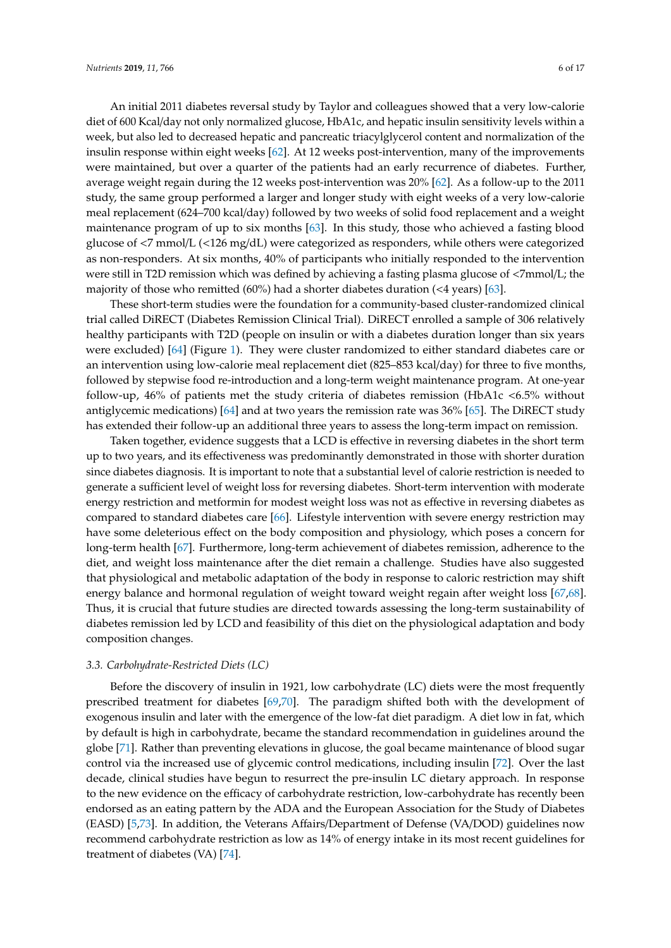An initial 2011 diabetes reversal study by Taylor and colleagues showed that a very low-calorie diet of 600 Kcal/day not only normalized glucose, HbA1c, and hepatic insulin sensitivity levels within a week, but also led to decreased hepatic and pancreatic triacylglycerol content and normalization of the insulin response within eight weeks [\[62\]](#page-13-2). At 12 weeks post-intervention, many of the improvements were maintained, but over a quarter of the patients had an early recurrence of diabetes. Further, average weight regain during the 12 weeks post-intervention was 20% [\[62\]](#page-13-2). As a follow-up to the 2011 study, the same group performed a larger and longer study with eight weeks of a very low-calorie meal replacement (624–700 kcal/day) followed by two weeks of solid food replacement and a weight maintenance program of up to six months [\[63\]](#page-13-3). In this study, those who achieved a fasting blood glucose of <7 mmol/L (<126 mg/dL) were categorized as responders, while others were categorized as non-responders. At six months, 40% of participants who initially responded to the intervention were still in T2D remission which was defined by achieving a fasting plasma glucose of <7mmol/L; the majority of those who remitted  $(60\%)$  had a shorter diabetes duration  $(4$  years)  $[63]$ .

These short-term studies were the foundation for a community-based cluster-randomized clinical trial called DiRECT (Diabetes Remission Clinical Trial). DiRECT enrolled a sample of 306 relatively healthy participants with T2D (people on insulin or with a diabetes duration longer than six years were excluded) [\[64\]](#page-13-4) (Figure [1\)](#page-8-0). They were cluster randomized to either standard diabetes care or an intervention using low-calorie meal replacement diet (825–853 kcal/day) for three to five months, followed by stepwise food re-introduction and a long-term weight maintenance program. At one-year follow-up, 46% of patients met the study criteria of diabetes remission (HbA1c <6.5% without antiglycemic medications) [\[64\]](#page-13-4) and at two years the remission rate was 36% [\[65\]](#page-13-5). The DiRECT study has extended their follow-up an additional three years to assess the long-term impact on remission.

Taken together, evidence suggests that a LCD is effective in reversing diabetes in the short term up to two years, and its effectiveness was predominantly demonstrated in those with shorter duration since diabetes diagnosis. It is important to note that a substantial level of calorie restriction is needed to generate a sufficient level of weight loss for reversing diabetes. Short-term intervention with moderate energy restriction and metformin for modest weight loss was not as effective in reversing diabetes as compared to standard diabetes care [\[66\]](#page-13-6). Lifestyle intervention with severe energy restriction may have some deleterious effect on the body composition and physiology, which poses a concern for long-term health [\[67\]](#page-13-7). Furthermore, long-term achievement of diabetes remission, adherence to the diet, and weight loss maintenance after the diet remain a challenge. Studies have also suggested that physiological and metabolic adaptation of the body in response to caloric restriction may shift energy balance and hormonal regulation of weight toward weight regain after weight loss [\[67,](#page-13-7)[68\]](#page-13-8). Thus, it is crucial that future studies are directed towards assessing the long-term sustainability of diabetes remission led by LCD and feasibility of this diet on the physiological adaptation and body composition changes.

#### *3.3. Carbohydrate-Restricted Diets (LC)*

Before the discovery of insulin in 1921, low carbohydrate (LC) diets were the most frequently prescribed treatment for diabetes [\[69,](#page-13-9)[70\]](#page-13-10). The paradigm shifted both with the development of exogenous insulin and later with the emergence of the low-fat diet paradigm. A diet low in fat, which by default is high in carbohydrate, became the standard recommendation in guidelines around the globe [\[71\]](#page-13-11). Rather than preventing elevations in glucose, the goal became maintenance of blood sugar control via the increased use of glycemic control medications, including insulin [\[72\]](#page-13-12). Over the last decade, clinical studies have begun to resurrect the pre-insulin LC dietary approach. In response to the new evidence on the efficacy of carbohydrate restriction, low-carbohydrate has recently been endorsed as an eating pattern by the ADA and the European Association for the Study of Diabetes (EASD) [\[5](#page-10-2)[,73\]](#page-13-13). In addition, the Veterans Affairs/Department of Defense (VA/DOD) guidelines now recommend carbohydrate restriction as low as 14% of energy intake in its most recent guidelines for treatment of diabetes (VA) [\[74\]](#page-13-14).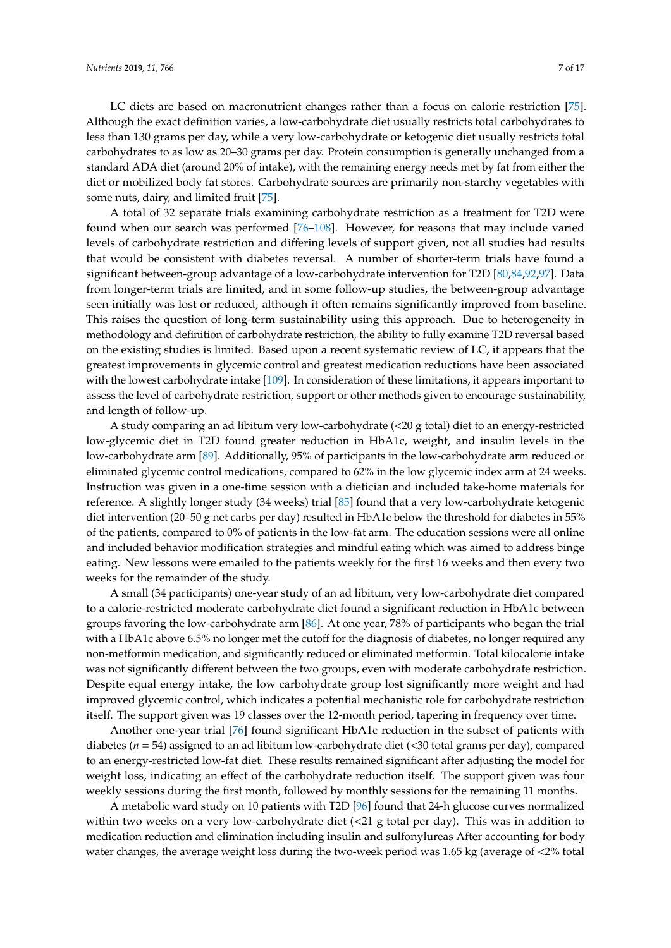LC diets are based on macronutrient changes rather than a focus on calorie restriction [\[75\]](#page-13-15). Although the exact definition varies, a low-carbohydrate diet usually restricts total carbohydrates to less than 130 grams per day, while a very low-carbohydrate or ketogenic diet usually restricts total carbohydrates to as low as 20–30 grams per day. Protein consumption is generally unchanged from a standard ADA diet (around 20% of intake), with the remaining energy needs met by fat from either the diet or mobilized body fat stores. Carbohydrate sources are primarily non-starchy vegetables with some nuts, dairy, and limited fruit [\[75\]](#page-13-15).

A total of 32 separate trials examining carbohydrate restriction as a treatment for T2D were found when our search was performed [\[76–](#page-13-16)[108\]](#page-15-0). However, for reasons that may include varied levels of carbohydrate restriction and differing levels of support given, not all studies had results that would be consistent with diabetes reversal. A number of shorter-term trials have found a significant between-group advantage of a low-carbohydrate intervention for T2D [\[80,](#page-14-0)[84](#page-14-1)[,92](#page-14-2)[,97\]](#page-15-1). Data from longer-term trials are limited, and in some follow-up studies, the between-group advantage seen initially was lost or reduced, although it often remains significantly improved from baseline. This raises the question of long-term sustainability using this approach. Due to heterogeneity in methodology and definition of carbohydrate restriction, the ability to fully examine T2D reversal based on the existing studies is limited. Based upon a recent systematic review of LC, it appears that the greatest improvements in glycemic control and greatest medication reductions have been associated with the lowest carbohydrate intake [\[109\]](#page-15-2). In consideration of these limitations, it appears important to assess the level of carbohydrate restriction, support or other methods given to encourage sustainability, and length of follow-up.

A study comparing an ad libitum very low-carbohydrate (<20 g total) diet to an energy-restricted low-glycemic diet in T2D found greater reduction in HbA1c, weight, and insulin levels in the low-carbohydrate arm [\[89\]](#page-14-3). Additionally, 95% of participants in the low-carbohydrate arm reduced or eliminated glycemic control medications, compared to 62% in the low glycemic index arm at 24 weeks. Instruction was given in a one-time session with a dietician and included take-home materials for reference. A slightly longer study (34 weeks) trial [\[85\]](#page-14-4) found that a very low-carbohydrate ketogenic diet intervention (20–50 g net carbs per day) resulted in HbA1c below the threshold for diabetes in 55% of the patients, compared to 0% of patients in the low-fat arm. The education sessions were all online and included behavior modification strategies and mindful eating which was aimed to address binge eating. New lessons were emailed to the patients weekly for the first 16 weeks and then every two weeks for the remainder of the study.

A small (34 participants) one-year study of an ad libitum, very low-carbohydrate diet compared to a calorie-restricted moderate carbohydrate diet found a significant reduction in HbA1c between groups favoring the low-carbohydrate arm [\[86\]](#page-14-5). At one year, 78% of participants who began the trial with a HbA1c above 6.5% no longer met the cutoff for the diagnosis of diabetes, no longer required any non-metformin medication, and significantly reduced or eliminated metformin. Total kilocalorie intake was not significantly different between the two groups, even with moderate carbohydrate restriction. Despite equal energy intake, the low carbohydrate group lost significantly more weight and had improved glycemic control, which indicates a potential mechanistic role for carbohydrate restriction itself. The support given was 19 classes over the 12-month period, tapering in frequency over time.

Another one-year trial [\[76\]](#page-13-16) found significant HbA1c reduction in the subset of patients with diabetes (*n* = 54) assigned to an ad libitum low-carbohydrate diet (<30 total grams per day), compared to an energy-restricted low-fat diet. These results remained significant after adjusting the model for weight loss, indicating an effect of the carbohydrate reduction itself. The support given was four weekly sessions during the first month, followed by monthly sessions for the remaining 11 months.

A metabolic ward study on 10 patients with T2D [\[96\]](#page-15-3) found that 24-h glucose curves normalized within two weeks on a very low-carbohydrate diet (<21 g total per day). This was in addition to medication reduction and elimination including insulin and sulfonylureas After accounting for body water changes, the average weight loss during the two-week period was 1.65 kg (average of <2% total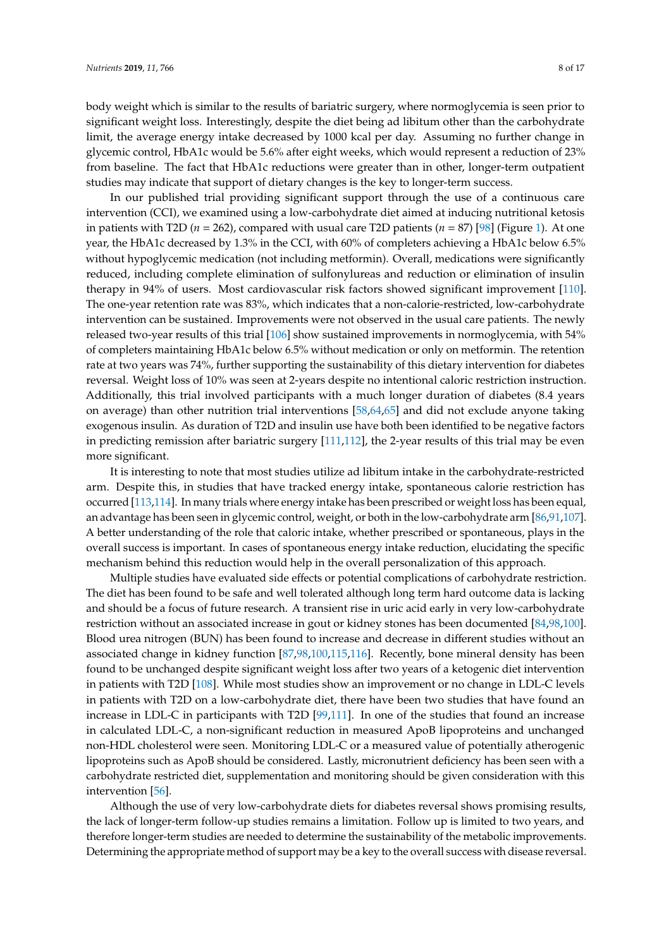body weight which is similar to the results of bariatric surgery, where normoglycemia is seen prior to significant weight loss. Interestingly, despite the diet being ad libitum other than the carbohydrate limit, the average energy intake decreased by 1000 kcal per day. Assuming no further change in glycemic control, HbA1c would be 5.6% after eight weeks, which would represent a reduction of 23% from baseline. The fact that HbA1c reductions were greater than in other, longer-term outpatient studies may indicate that support of dietary changes is the key to longer-term success.

In our published trial providing significant support through the use of a continuous care intervention (CCI), we examined using a low-carbohydrate diet aimed at inducing nutritional ketosis in patients with T2D (*n* = 262), compared with usual care T2D patients (*n* = 87) [\[98\]](#page-15-4) (Figure [1\)](#page-8-0). At one year, the HbA1c decreased by 1.3% in the CCI, with 60% of completers achieving a HbA1c below 6.5% without hypoglycemic medication (not including metformin). Overall, medications were significantly reduced, including complete elimination of sulfonylureas and reduction or elimination of insulin therapy in 94% of users. Most cardiovascular risk factors showed significant improvement [\[110\]](#page-15-5). The one-year retention rate was 83%, which indicates that a non-calorie-restricted, low-carbohydrate intervention can be sustained. Improvements were not observed in the usual care patients. The newly released two-year results of this trial [\[106\]](#page-15-6) show sustained improvements in normoglycemia, with 54% of completers maintaining HbA1c below 6.5% without medication or only on metformin. The retention rate at two years was 74%, further supporting the sustainability of this dietary intervention for diabetes reversal. Weight loss of 10% was seen at 2-years despite no intentional caloric restriction instruction. Additionally, this trial involved participants with a much longer duration of diabetes (8.4 years on average) than other nutrition trial interventions [\[58,](#page-12-16)[64,](#page-13-4)[65\]](#page-13-5) and did not exclude anyone taking exogenous insulin. As duration of T2D and insulin use have both been identified to be negative factors in predicting remission after bariatric surgery [\[111,](#page-15-7)[112\]](#page-16-0), the 2-year results of this trial may be even more significant.

It is interesting to note that most studies utilize ad libitum intake in the carbohydrate-restricted arm. Despite this, in studies that have tracked energy intake, spontaneous calorie restriction has occurred [\[113](#page-16-1)[,114\]](#page-16-2). In many trials where energy intake has been prescribed or weight loss has been equal, an advantage has been seen in glycemic control, weight, or both in the low-carbohydrate arm [\[86](#page-14-5)[,91](#page-14-6)[,107\]](#page-15-8). A better understanding of the role that caloric intake, whether prescribed or spontaneous, plays in the overall success is important. In cases of spontaneous energy intake reduction, elucidating the specific mechanism behind this reduction would help in the overall personalization of this approach.

Multiple studies have evaluated side effects or potential complications of carbohydrate restriction. The diet has been found to be safe and well tolerated although long term hard outcome data is lacking and should be a focus of future research. A transient rise in uric acid early in very low-carbohydrate restriction without an associated increase in gout or kidney stones has been documented [\[84,](#page-14-1)[98,](#page-15-4)[100\]](#page-15-9). Blood urea nitrogen (BUN) has been found to increase and decrease in different studies without an associated change in kidney function [\[87](#page-14-7)[,98](#page-15-4)[,100](#page-15-9)[,115](#page-16-3)[,116\]](#page-16-4). Recently, bone mineral density has been found to be unchanged despite significant weight loss after two years of a ketogenic diet intervention in patients with T2D [\[108\]](#page-15-0). While most studies show an improvement or no change in LDL-C levels in patients with T2D on a low-carbohydrate diet, there have been two studies that have found an increase in LDL-C in participants with T2D [\[99](#page-15-10)[,111\]](#page-15-7). In one of the studies that found an increase in calculated LDL-C, a non-significant reduction in measured ApoB lipoproteins and unchanged non-HDL cholesterol were seen. Monitoring LDL-C or a measured value of potentially atherogenic lipoproteins such as ApoB should be considered. Lastly, micronutrient deficiency has been seen with a carbohydrate restricted diet, supplementation and monitoring should be given consideration with this intervention [\[56\]](#page-12-14).

Although the use of very low-carbohydrate diets for diabetes reversal shows promising results, the lack of longer-term follow-up studies remains a limitation. Follow up is limited to two years, and therefore longer-term studies are needed to determine the sustainability of the metabolic improvements. Determining the appropriate method of support may be a key to the overall success with disease reversal.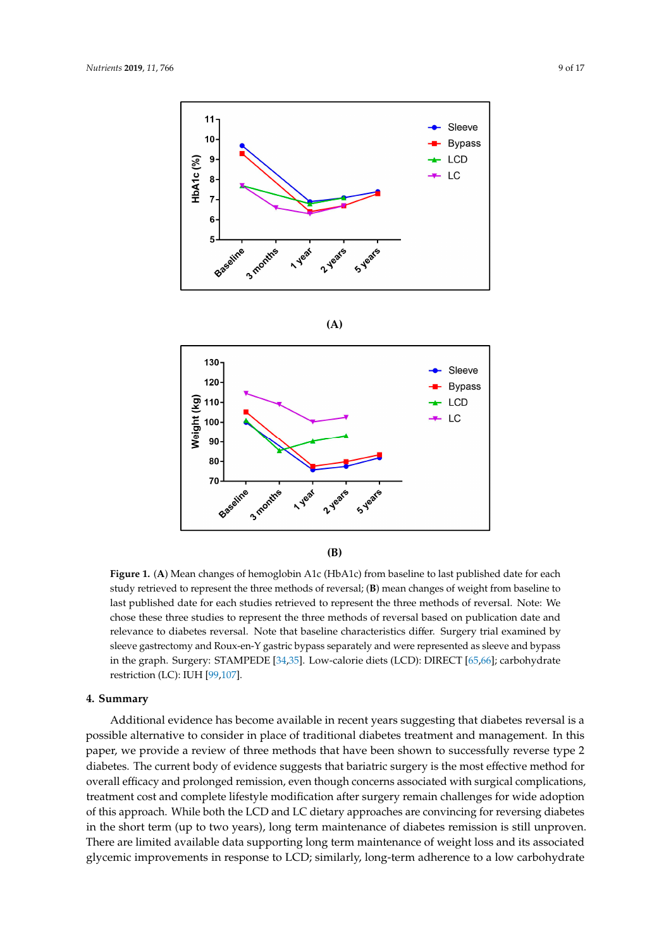<span id="page-8-0"></span>







Figure 1. (A) Mean changes of hemoglobin A1c (HbA1c) from baseline to last published date for each study retrieved to represent the three methods of reversal; (B) mean changes of weight from baseline to last published date for each studies retrieved to represent the three methods of reversal. Note: We last published date for each studies retrieved to represent the three methods of reversal. Note: We<br>chose these three studies to represent the three methods of reversal based on publication date and relevance to diabetes reversal. Note that baseline characteristics differ. Surgery trial examined by sleeve gastrectomy and Roux-en-Y gastric bypass separately and were represented as sleeve and bypass in the graph. Surgery: STAMPEDE [\[34](#page-11-16)[,35\]](#page-11-10). Low-calorie diets (LCD): DIRECT [\[65,](#page-13-5)[66\]](#page-13-6); carbohydrate restriction (LC): IUH [\[99](#page-15-10)[,107\]](#page-15-8).

## **4. Summary**

Additional evidence has become available in recent years suggesting that diabetes reversal is a possible alternative to consider in place of traditional diabetes treatment and management. In this paper, we provide a review of three methods that have been shown to successfully reverse type 2 diabetes. The current body of evidence suggests that bariatric surgery is the most effective method for overall efficacy and prolonged remission, even though concerns associated with surgical complications, treatment cost and complete lifestyle modification after surgery remain challenges for wide adoption of this approach. While both the LCD and LC dietary approaches are convincing for reversing diabetes in the short term (up to two years), long term maintenance of diabetes remission is still unproven. There are limited available data supporting long term maintenance of weight loss and its associated glycemic improvements in response to LCD; similarly, long-term adherence to a low carbohydrate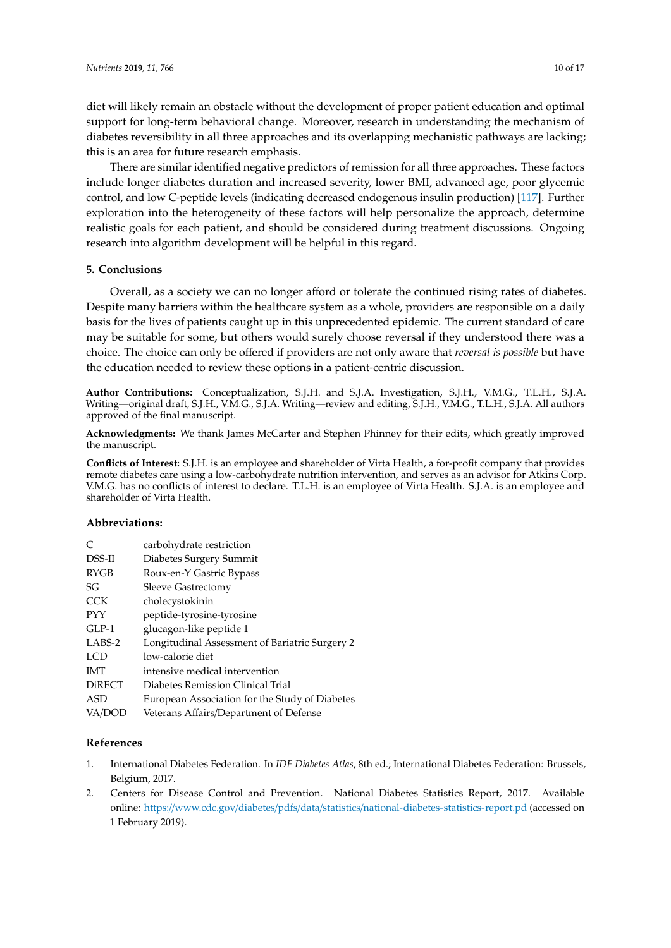diet will likely remain an obstacle without the development of proper patient education and optimal support for long-term behavioral change. Moreover, research in understanding the mechanism of diabetes reversibility in all three approaches and its overlapping mechanistic pathways are lacking; this is an area for future research emphasis.

There are similar identified negative predictors of remission for all three approaches. These factors include longer diabetes duration and increased severity, lower BMI, advanced age, poor glycemic control, and low C-peptide levels (indicating decreased endogenous insulin production) [\[117\]](#page-16-5). Further exploration into the heterogeneity of these factors will help personalize the approach, determine realistic goals for each patient, and should be considered during treatment discussions. Ongoing research into algorithm development will be helpful in this regard.

## **5. Conclusions**

Overall, as a society we can no longer afford or tolerate the continued rising rates of diabetes. Despite many barriers within the healthcare system as a whole, providers are responsible on a daily basis for the lives of patients caught up in this unprecedented epidemic. The current standard of care may be suitable for some, but others would surely choose reversal if they understood there was a choice. The choice can only be offered if providers are not only aware that *reversal is possible* but have the education needed to review these options in a patient-centric discussion.

**Author Contributions:** Conceptualization, S.J.H. and S.J.A. Investigation, S.J.H., V.M.G., T.L.H., S.J.A. Writing—original draft, S.J.H., V.M.G., S.J.A. Writing—review and editing, S.J.H., V.M.G., T.L.H., S.J.A. All authors approved of the final manuscript.

**Acknowledgments:** We thank James McCarter and Stephen Phinney for their edits, which greatly improved the manuscript.

**Conflicts of Interest:** S.J.H. is an employee and shareholder of Virta Health, a for-profit company that provides remote diabetes care using a low-carbohydrate nutrition intervention, and serves as an advisor for Atkins Corp. V.M.G. has no conflicts of interest to declare. T.L.H. is an employee of Virta Health. S.J.A. is an employee and shareholder of Virta Health.

## **Abbreviations:**

| C             | carbohydrate restriction                       |
|---------------|------------------------------------------------|
| DSS-II        | Diabetes Surgery Summit                        |
| RYGB          | Roux-en-Y Gastric Bypass                       |
| SG            | <b>Sleeve Gastrectomy</b>                      |
| <b>CCK</b>    | cholecystokinin                                |
| <b>PYY</b>    | peptide-tyrosine-tyrosine                      |
| $GLP-1$       | glucagon-like peptide 1                        |
| LABS-2        | Longitudinal Assessment of Bariatric Surgery 2 |
| LCD           | low-calorie diet                               |
| <b>IMT</b>    | intensive medical intervention                 |
| <b>DiRECT</b> | Diabetes Remission Clinical Trial              |
| ASD           | European Association for the Study of Diabetes |
| VA/DOD        | Veterans Affairs/Department of Defense         |

## **References**

- <span id="page-9-0"></span>1. International Diabetes Federation. In *IDF Diabetes Atlas*, 8th ed.; International Diabetes Federation: Brussels, Belgium, 2017.
- <span id="page-9-1"></span>2. Centers for Disease Control and Prevention. National Diabetes Statistics Report, 2017. Available online: https://www.cdc.gov/diabetes/pdfs/data/statistics/[national-diabetes-statistics-report.pd](https://www.cdc.gov/diabetes/pdfs/data/statistics/national-diabetes-statistics-report.pd) (accessed on 1 February 2019).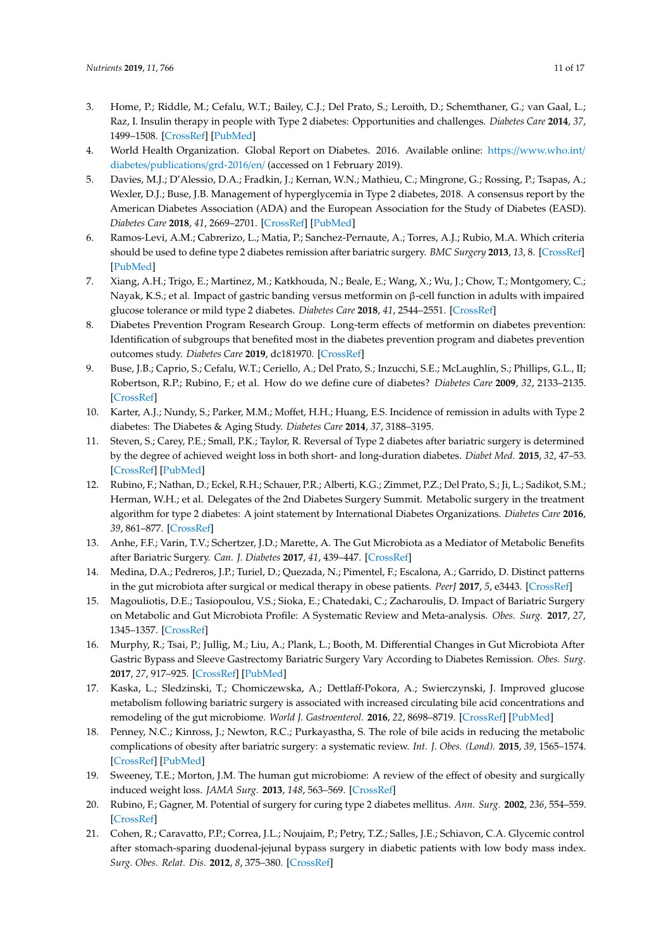- <span id="page-10-0"></span>3. Home, P.; Riddle, M.; Cefalu, W.T.; Bailey, C.J.; Del Prato, S.; Leroith, D.; Schemthaner, G.; van Gaal, L.; Raz, I. Insulin therapy in people with Type 2 diabetes: Opportunities and challenges. *Diabetes Care* **2014**, *37*, 1499–1508. [\[CrossRef\]](http://dx.doi.org/10.2337/dc13-2743) [\[PubMed\]](http://www.ncbi.nlm.nih.gov/pubmed/24855154)
- <span id="page-10-1"></span>4. World Health Organization. Global Report on Diabetes. 2016. Available online: https://[www.who.int](https://www.who.int/diabetes/publications/grd-2016/en/)/ diabetes/[publications](https://www.who.int/diabetes/publications/grd-2016/en/)/grd-2016/en/ (accessed on 1 February 2019).
- <span id="page-10-2"></span>5. Davies, M.J.; D'Alessio, D.A.; Fradkin, J.; Kernan, W.N.; Mathieu, C.; Mingrone, G.; Rossing, P.; Tsapas, A.; Wexler, D.J.; Buse, J.B. Management of hyperglycemia in Type 2 diabetes, 2018. A consensus report by the American Diabetes Association (ADA) and the European Association for the Study of Diabetes (EASD). *Diabetes Care* **2018**, *41*, 2669–2701. [\[CrossRef\]](http://dx.doi.org/10.2337/dci18-0033) [\[PubMed\]](http://www.ncbi.nlm.nih.gov/pubmed/30291106)
- <span id="page-10-3"></span>6. Ramos-Levi, A.M.; Cabrerizo, L.; Matia, P.; Sanchez-Pernaute, A.; Torres, A.J.; Rubio, M.A. Which criteria should be used to define type 2 diabetes remission after bariatric surgery. *BMC Surgery* **2013**, *13*, 8. [\[CrossRef\]](http://dx.doi.org/10.1186/1471-2482-13-8) [\[PubMed\]](http://www.ncbi.nlm.nih.gov/pubmed/23537494)
- <span id="page-10-4"></span>7. Xiang, A.H.; Trigo, E.; Martinez, M.; Katkhouda, N.; Beale, E.; Wang, X.; Wu, J.; Chow, T.; Montgomery, C.; Nayak, K.S.; et al. Impact of gastric banding versus metformin on β-cell function in adults with impaired glucose tolerance or mild type 2 diabetes. *Diabetes Care* **2018**, *41*, 2544–2551. [\[CrossRef\]](http://dx.doi.org/10.2337/dc18-1662)
- <span id="page-10-5"></span>8. Diabetes Prevention Program Research Group. Long-term effects of metformin on diabetes prevention: Identification of subgroups that benefited most in the diabetes prevention program and diabetes prevention outcomes study. *Diabetes Care* **2019**, dc181970. [\[CrossRef\]](http://dx.doi.org/10.2337/dc18-1970)
- <span id="page-10-6"></span>9. Buse, J.B.; Caprio, S.; Cefalu, W.T.; Ceriello, A.; Del Prato, S.; Inzucchi, S.E.; McLaughlin, S.; Phillips, G.L., II; Robertson, R.P.; Rubino, F.; et al. How do we define cure of diabetes? *Diabetes Care* **2009**, *32*, 2133–2135. [\[CrossRef\]](http://dx.doi.org/10.2337/dc09-9036)
- <span id="page-10-7"></span>10. Karter, A.J.; Nundy, S.; Parker, M.M.; Moffet, H.H.; Huang, E.S. Incidence of remission in adults with Type 2 diabetes: The Diabetes & Aging Study. *Diabetes Care* **2014**, *37*, 3188–3195.
- <span id="page-10-8"></span>11. Steven, S.; Carey, P.E.; Small, P.K.; Taylor, R. Reversal of Type 2 diabetes after bariatric surgery is determined by the degree of achieved weight loss in both short- and long-duration diabetes. *Diabet Med.* **2015**, *32*, 47–53. [\[CrossRef\]](http://dx.doi.org/10.1111/dme.12567) [\[PubMed\]](http://www.ncbi.nlm.nih.gov/pubmed/25132043)
- <span id="page-10-9"></span>12. Rubino, F.; Nathan, D.; Eckel, R.H.; Schauer, P.R.; Alberti, K.G.; Zimmet, P.Z.; Del Prato, S.; Ji, L.; Sadikot, S.M.; Herman, W.H.; et al. Delegates of the 2nd Diabetes Surgery Summit. Metabolic surgery in the treatment algorithm for type 2 diabetes: A joint statement by International Diabetes Organizations. *Diabetes Care* **2016**, *39*, 861–877. [\[CrossRef\]](http://dx.doi.org/10.2337/dc16-0236)
- <span id="page-10-10"></span>13. Anhe, F.F.; Varin, T.V.; Schertzer, J.D.; Marette, A. The Gut Microbiota as a Mediator of Metabolic Benefits after Bariatric Surgery. *Can. J. Diabetes* **2017**, *41*, 439–447. [\[CrossRef\]](http://dx.doi.org/10.1016/j.jcjd.2017.02.002)
- <span id="page-10-14"></span>14. Medina, D.A.; Pedreros, J.P.; Turiel, D.; Quezada, N.; Pimentel, F.; Escalona, A.; Garrido, D. Distinct patterns in the gut microbiota after surgical or medical therapy in obese patients. *PeerJ* **2017**, *5*, e3443. [\[CrossRef\]](http://dx.doi.org/10.7717/peerj.3443)
- 15. Magouliotis, D.E.; Tasiopoulou, V.S.; Sioka, E.; Chatedaki, C.; Zacharoulis, D. Impact of Bariatric Surgery on Metabolic and Gut Microbiota Profile: A Systematic Review and Meta-analysis. *Obes. Surg.* **2017**, *27*, 1345–1357. [\[CrossRef\]](http://dx.doi.org/10.1007/s11695-017-2595-8)
- <span id="page-10-15"></span>16. Murphy, R.; Tsai, P.; Jullig, M.; Liu, A.; Plank, L.; Booth, M. Differential Changes in Gut Microbiota After Gastric Bypass and Sleeve Gastrectomy Bariatric Surgery Vary According to Diabetes Remission. *Obes. Surg.* **2017**, *27*, 917–925. [\[CrossRef\]](http://dx.doi.org/10.1007/s11695-016-2399-2) [\[PubMed\]](http://www.ncbi.nlm.nih.gov/pubmed/27738970)
- <span id="page-10-16"></span>17. Kaska, L.; Sledzinski, T.; Chomiczewska, A.; Dettlaff-Pokora, A.; Swierczynski, J. Improved glucose metabolism following bariatric surgery is associated with increased circulating bile acid concentrations and remodeling of the gut microbiome. *World J. Gastroenterol.* **2016**, *22*, 8698–8719. [\[CrossRef\]](http://dx.doi.org/10.3748/wjg.v22.i39.8698) [\[PubMed\]](http://www.ncbi.nlm.nih.gov/pubmed/27818587)
- 18. Penney, N.C.; Kinross, J.; Newton, R.C.; Purkayastha, S. The role of bile acids in reducing the metabolic complications of obesity after bariatric surgery: a systematic review. *Int. J. Obes. (Lond).* **2015**, *39*, 1565–1574. [\[CrossRef\]](http://dx.doi.org/10.1038/ijo.2015.115) [\[PubMed\]](http://www.ncbi.nlm.nih.gov/pubmed/26081915)
- <span id="page-10-11"></span>19. Sweeney, T.E.; Morton, J.M. The human gut microbiome: A review of the effect of obesity and surgically induced weight loss. *JAMA Surg.* **2013**, *148*, 563–569. [\[CrossRef\]](http://dx.doi.org/10.1001/jamasurg.2013.5)
- <span id="page-10-12"></span>20. Rubino, F.; Gagner, M. Potential of surgery for curing type 2 diabetes mellitus. *Ann. Surg.* **2002**, *236*, 554–559. [\[CrossRef\]](http://dx.doi.org/10.1097/00000658-200211000-00003)
- <span id="page-10-13"></span>21. Cohen, R.; Caravatto, P.P.; Correa, J.L.; Noujaim, P.; Petry, T.Z.; Salles, J.E.; Schiavon, C.A. Glycemic control after stomach-sparing duodenal-jejunal bypass surgery in diabetic patients with low body mass index. *Surg. Obes. Relat. Dis.* **2012**, *8*, 375–380. [\[CrossRef\]](http://dx.doi.org/10.1016/j.soard.2012.01.017)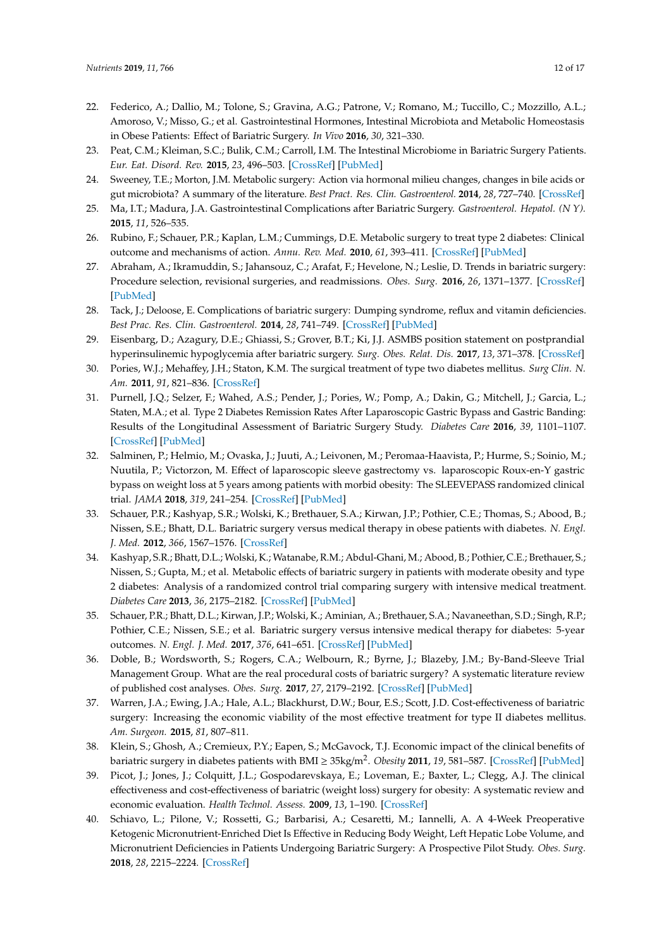- <span id="page-11-0"></span>22. Federico, A.; Dallio, M.; Tolone, S.; Gravina, A.G.; Patrone, V.; Romano, M.; Tuccillo, C.; Mozzillo, A.L.; Amoroso, V.; Misso, G.; et al. Gastrointestinal Hormones, Intestinal Microbiota and Metabolic Homeostasis in Obese Patients: Effect of Bariatric Surgery. *In Vivo* **2016**, *30*, 321–330.
- <span id="page-11-1"></span>23. Peat, C.M.; Kleiman, S.C.; Bulik, C.M.; Carroll, I.M. The Intestinal Microbiome in Bariatric Surgery Patients. *Eur. Eat. Disord. Rev.* **2015**, *23*, 496–503. [\[CrossRef\]](http://dx.doi.org/10.1002/erv.2400) [\[PubMed\]](http://www.ncbi.nlm.nih.gov/pubmed/26426680)
- <span id="page-11-2"></span>24. Sweeney, T.E.; Morton, J.M. Metabolic surgery: Action via hormonal milieu changes, changes in bile acids or gut microbiota? A summary of the literature. *Best Pract. Res. Clin. Gastroenterol.* **2014**, *28*, 727–740. [\[CrossRef\]](http://dx.doi.org/10.1016/j.bpg.2014.07.016)
- <span id="page-11-3"></span>25. Ma, I.T.; Madura, J.A. Gastrointestinal Complications after Bariatric Surgery. *Gastroenterol. Hepatol. (N Y).* **2015**, *11*, 526–535.
- <span id="page-11-4"></span>26. Rubino, F.; Schauer, P.R.; Kaplan, L.M.; Cummings, D.E. Metabolic surgery to treat type 2 diabetes: Clinical outcome and mechanisms of action. *Annu. Rev. Med.* **2010**, *61*, 393–411. [\[CrossRef\]](http://dx.doi.org/10.1146/annurev.med.051308.105148) [\[PubMed\]](http://www.ncbi.nlm.nih.gov/pubmed/20059345)
- 27. Abraham, A.; Ikramuddin, S.; Jahansouz, C.; Arafat, F.; Hevelone, N.; Leslie, D. Trends in bariatric surgery: Procedure selection, revisional surgeries, and readmissions. *Obes. Surg.* **2016**, *26*, 1371–1377. [\[CrossRef\]](http://dx.doi.org/10.1007/s11695-015-1974-2) [\[PubMed\]](http://www.ncbi.nlm.nih.gov/pubmed/26715330)
- 28. Tack, J.; Deloose, E. Complications of bariatric surgery: Dumping syndrome, reflux and vitamin deficiencies. *Best Prac. Res. Clin. Gastroenterol.* **2014**, *28*, 741–749. [\[CrossRef\]](http://dx.doi.org/10.1016/j.bpg.2014.07.010) [\[PubMed\]](http://www.ncbi.nlm.nih.gov/pubmed/25194187)
- <span id="page-11-5"></span>29. Eisenbarg, D.; Azagury, D.E.; Ghiassi, S.; Grover, B.T.; Ki, J.J. ASMBS position statement on postprandial hyperinsulinemic hypoglycemia after bariatric surgery. *Surg. Obes. Relat. Dis.* **2017**, *13*, 371–378. [\[CrossRef\]](http://dx.doi.org/10.1016/j.soard.2016.12.005)
- <span id="page-11-6"></span>30. Pories, W.J.; Mehaffey, J.H.; Staton, K.M. The surgical treatment of type two diabetes mellitus. *Surg Clin. N. Am.* **2011**, *91*, 821–836. [\[CrossRef\]](http://dx.doi.org/10.1016/j.suc.2011.04.008)
- <span id="page-11-7"></span>31. Purnell, J.Q.; Selzer, F.; Wahed, A.S.; Pender, J.; Pories, W.; Pomp, A.; Dakin, G.; Mitchell, J.; Garcia, L.; Staten, M.A.; et al. Type 2 Diabetes Remission Rates After Laparoscopic Gastric Bypass and Gastric Banding: Results of the Longitudinal Assessment of Bariatric Surgery Study. *Diabetes Care* **2016**, *39*, 1101–1107. [\[CrossRef\]](http://dx.doi.org/10.2337/dc15-2138) [\[PubMed\]](http://www.ncbi.nlm.nih.gov/pubmed/27289123)
- <span id="page-11-8"></span>32. Salminen, P.; Helmio, M.; Ovaska, J.; Juuti, A.; Leivonen, M.; Peromaa-Haavista, P.; Hurme, S.; Soinio, M.; Nuutila, P.; Victorzon, M. Effect of laparoscopic sleeve gastrectomy vs. laparoscopic Roux-en-Y gastric bypass on weight loss at 5 years among patients with morbid obesity: The SLEEVEPASS randomized clinical trial. *JAMA* **2018**, *319*, 241–254. [\[CrossRef\]](http://dx.doi.org/10.1001/jama.2017.20313) [\[PubMed\]](http://www.ncbi.nlm.nih.gov/pubmed/29340676)
- <span id="page-11-9"></span>33. Schauer, P.R.; Kashyap, S.R.; Wolski, K.; Brethauer, S.A.; Kirwan, J.P.; Pothier, C.E.; Thomas, S.; Abood, B.; Nissen, S.E.; Bhatt, D.L. Bariatric surgery versus medical therapy in obese patients with diabetes. *N. Engl. J. Med.* **2012**, *366*, 1567–1576. [\[CrossRef\]](http://dx.doi.org/10.1056/NEJMoa1200225)
- <span id="page-11-16"></span>34. Kashyap, S.R.; Bhatt, D.L.; Wolski, K.; Watanabe, R.M.; Abdul-Ghani, M.; Abood, B.; Pothier, C.E.; Brethauer, S.; Nissen, S.; Gupta, M.; et al. Metabolic effects of bariatric surgery in patients with moderate obesity and type 2 diabetes: Analysis of a randomized control trial comparing surgery with intensive medical treatment. *Diabetes Care* **2013**, *36*, 2175–2182. [\[CrossRef\]](http://dx.doi.org/10.2337/dc12-1596) [\[PubMed\]](http://www.ncbi.nlm.nih.gov/pubmed/23439632)
- <span id="page-11-10"></span>35. Schauer, P.R.; Bhatt, D.L.; Kirwan, J.P.; Wolski, K.; Aminian, A.; Brethauer, S.A.; Navaneethan, S.D.; Singh, R.P.; Pothier, C.E.; Nissen, S.E.; et al. Bariatric surgery versus intensive medical therapy for diabetes: 5-year outcomes. *N. Engl. J. Med.* **2017**, *376*, 641–651. [\[CrossRef\]](http://dx.doi.org/10.1056/NEJMoa1600869) [\[PubMed\]](http://www.ncbi.nlm.nih.gov/pubmed/28199805)
- <span id="page-11-11"></span>36. Doble, B.; Wordsworth, S.; Rogers, C.A.; Welbourn, R.; Byrne, J.; Blazeby, J.M.; By-Band-Sleeve Trial Management Group. What are the real procedural costs of bariatric surgery? A systematic literature review of published cost analyses. *Obes. Surg.* **2017**, *27*, 2179–2192. [\[CrossRef\]](http://dx.doi.org/10.1007/s11695-017-2749-8) [\[PubMed\]](http://www.ncbi.nlm.nih.gov/pubmed/28550438)
- <span id="page-11-12"></span>37. Warren, J.A.; Ewing, J.A.; Hale, A.L.; Blackhurst, D.W.; Bour, E.S.; Scott, J.D. Cost-effectiveness of bariatric surgery: Increasing the economic viability of the most effective treatment for type II diabetes mellitus. *Am. Surgeon.* **2015**, *81*, 807–811.
- <span id="page-11-13"></span>38. Klein, S.; Ghosh, A.; Cremieux, P.Y.; Eapen, S.; McGavock, T.J. Economic impact of the clinical benefits of bariatric surgery in diabetes patients with BMI ≥ 35kg/m<sup>2</sup> . *Obesity* **2011**, *19*, 581–587. [\[CrossRef\]](http://dx.doi.org/10.1038/oby.2010.199) [\[PubMed\]](http://www.ncbi.nlm.nih.gov/pubmed/20829800)
- <span id="page-11-14"></span>39. Picot, J.; Jones, J.; Colquitt, J.L.; Gospodarevskaya, E.; Loveman, E.; Baxter, L.; Clegg, A.J. The clinical effectiveness and cost-effectiveness of bariatric (weight loss) surgery for obesity: A systematic review and economic evaluation. *Health Technol. Assess.* **2009**, *13*, 1–190. [\[CrossRef\]](http://dx.doi.org/10.3310/hta13410)
- <span id="page-11-15"></span>40. Schiavo, L.; Pilone, V.; Rossetti, G.; Barbarisi, A.; Cesaretti, M.; Iannelli, A. A 4-Week Preoperative Ketogenic Micronutrient-Enriched Diet Is Effective in Reducing Body Weight, Left Hepatic Lobe Volume, and Micronutrient Deficiencies in Patients Undergoing Bariatric Surgery: A Prospective Pilot Study. *Obes. Surg.* **2018**, *28*, 2215–2224. [\[CrossRef\]](http://dx.doi.org/10.1007/s11695-018-3145-8)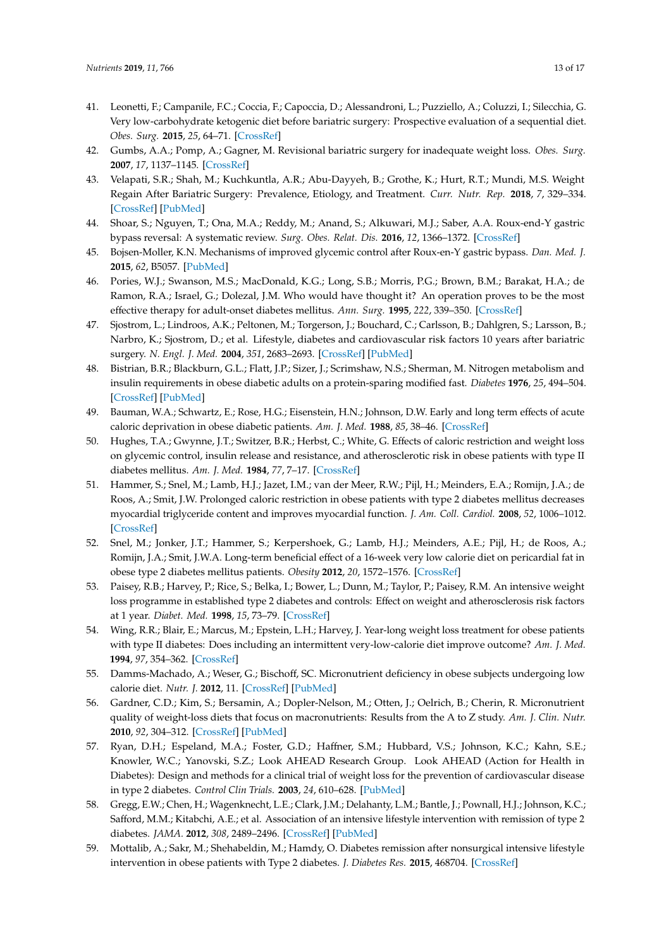- <span id="page-12-0"></span>41. Leonetti, F.; Campanile, F.C.; Coccia, F.; Capoccia, D.; Alessandroni, L.; Puzziello, A.; Coluzzi, I.; Silecchia, G. Very low-carbohydrate ketogenic diet before bariatric surgery: Prospective evaluation of a sequential diet. *Obes. Surg.* **2015**, *25*, 64–71. [\[CrossRef\]](http://dx.doi.org/10.1007/s11695-014-1348-1)
- <span id="page-12-1"></span>42. Gumbs, A.A.; Pomp, A.; Gagner, M. Revisional bariatric surgery for inadequate weight loss. *Obes. Surg.* **2007**, *17*, 1137–1145. [\[CrossRef\]](http://dx.doi.org/10.1007/s11695-007-9209-9)
- <span id="page-12-2"></span>43. Velapati, S.R.; Shah, M.; Kuchkuntla, A.R.; Abu-Dayyeh, B.; Grothe, K.; Hurt, R.T.; Mundi, M.S. Weight Regain After Bariatric Surgery: Prevalence, Etiology, and Treatment. *Curr. Nutr. Rep.* **2018**, *7*, 329–334. [\[CrossRef\]](http://dx.doi.org/10.1007/s13668-018-0243-0) [\[PubMed\]](http://www.ncbi.nlm.nih.gov/pubmed/30168043)
- <span id="page-12-3"></span>44. Shoar, S.; Nguyen, T.; Ona, M.A.; Reddy, M.; Anand, S.; Alkuwari, M.J.; Saber, A.A. Roux-end-Y gastric bypass reversal: A systematic review. *Surg. Obes. Relat. Dis.* **2016**, *12*, 1366–1372. [\[CrossRef\]](http://dx.doi.org/10.1016/j.soard.2016.02.023)
- <span id="page-12-4"></span>45. Bojsen-Moller, K.N. Mechanisms of improved glycemic control after Roux-en-Y gastric bypass. *Dan. Med. J.* **2015**, *62*, B5057. [\[PubMed\]](http://www.ncbi.nlm.nih.gov/pubmed/25872541)
- <span id="page-12-5"></span>46. Pories, W.J.; Swanson, M.S.; MacDonald, K.G.; Long, S.B.; Morris, P.G.; Brown, B.M.; Barakat, H.A.; de Ramon, R.A.; Israel, G.; Dolezal, J.M. Who would have thought it? An operation proves to be the most effective therapy for adult-onset diabetes mellitus. *Ann. Surg.* **1995**, *222*, 339–350. [\[CrossRef\]](http://dx.doi.org/10.1097/00000658-199509000-00011)
- <span id="page-12-6"></span>47. Sjostrom, L.; Lindroos, A.K.; Peltonen, M.; Torgerson, J.; Bouchard, C.; Carlsson, B.; Dahlgren, S.; Larsson, B.; Narbro, K.; Sjostrom, D.; et al. Lifestyle, diabetes and cardiovascular risk factors 10 years after bariatric surgery. *N. Engl. J. Med.* **2004**, *351*, 2683–2693. [\[CrossRef\]](http://dx.doi.org/10.1056/NEJMoa035622) [\[PubMed\]](http://www.ncbi.nlm.nih.gov/pubmed/15616203)
- <span id="page-12-7"></span>48. Bistrian, B.R.; Blackburn, G.L.; Flatt, J.P.; Sizer, J.; Scrimshaw, N.S.; Sherman, M. Nitrogen metabolism and insulin requirements in obese diabetic adults on a protein-sparing modified fast. *Diabetes* **1976**, *25*, 494–504. [\[CrossRef\]](http://dx.doi.org/10.2337/diab.25.6.494) [\[PubMed\]](http://www.ncbi.nlm.nih.gov/pubmed/1278601)
- <span id="page-12-8"></span>49. Bauman, W.A.; Schwartz, E.; Rose, H.G.; Eisenstein, H.N.; Johnson, D.W. Early and long term effects of acute caloric deprivation in obese diabetic patients. *Am. J. Med.* **1988**, *85*, 38–46. [\[CrossRef\]](http://dx.doi.org/10.1016/0002-9343(88)90500-1)
- <span id="page-12-9"></span>50. Hughes, T.A.; Gwynne, J.T.; Switzer, B.R.; Herbst, C.; White, G. Effects of caloric restriction and weight loss on glycemic control, insulin release and resistance, and atherosclerotic risk in obese patients with type II diabetes mellitus. *Am. J. Med.* **1984**, *77*, 7–17. [\[CrossRef\]](http://dx.doi.org/10.1016/0002-9343(84)90429-7)
- <span id="page-12-10"></span>51. Hammer, S.; Snel, M.; Lamb, H.J.; Jazet, I.M.; van der Meer, R.W.; Pijl, H.; Meinders, E.A.; Romijn, J.A.; de Roos, A.; Smit, J.W. Prolonged caloric restriction in obese patients with type 2 diabetes mellitus decreases myocardial triglyceride content and improves myocardial function. *J. Am. Coll. Cardiol.* **2008**, *52*, 1006–1012. [\[CrossRef\]](http://dx.doi.org/10.1016/j.jacc.2008.04.068)
- 52. Snel, M.; Jonker, J.T.; Hammer, S.; Kerpershoek, G.; Lamb, H.J.; Meinders, A.E.; Pijl, H.; de Roos, A.; Romijn, J.A.; Smit, J.W.A. Long-term beneficial effect of a 16-week very low calorie diet on pericardial fat in obese type 2 diabetes mellitus patients. *Obesity* **2012**, *20*, 1572–1576. [\[CrossRef\]](http://dx.doi.org/10.1038/oby.2011.390)
- <span id="page-12-11"></span>53. Paisey, R.B.; Harvey, P.; Rice, S.; Belka, I.; Bower, L.; Dunn, M.; Taylor, P.; Paisey, R.M. An intensive weight loss programme in established type 2 diabetes and controls: Effect on weight and atherosclerosis risk factors at 1 year. *Diabet. Med.* **1998**, *15*, 73–79. [\[CrossRef\]](http://dx.doi.org/10.1002/(SICI)1096-9136(199801)15:1<73::AID-DIA516>3.0.CO;2-F)
- <span id="page-12-12"></span>54. Wing, R.R.; Blair, E.; Marcus, M.; Epstein, L.H.; Harvey, J. Year-long weight loss treatment for obese patients with type II diabetes: Does including an intermittent very-low-calorie diet improve outcome? *Am. J. Med.* **1994**, *97*, 354–362. [\[CrossRef\]](http://dx.doi.org/10.1016/0002-9343(94)90302-6)
- <span id="page-12-13"></span>55. Damms-Machado, A.; Weser, G.; Bischoff, SC. Micronutrient deficiency in obese subjects undergoing low calorie diet. *Nutr. J.* **2012**, 11. [\[CrossRef\]](http://dx.doi.org/10.1186/1475-2891-11-34) [\[PubMed\]](http://www.ncbi.nlm.nih.gov/pubmed/22657586)
- <span id="page-12-14"></span>56. Gardner, C.D.; Kim, S.; Bersamin, A.; Dopler-Nelson, M.; Otten, J.; Oelrich, B.; Cherin, R. Micronutrient quality of weight-loss diets that focus on macronutrients: Results from the A to Z study. *Am. J. Clin. Nutr.* **2010**, *92*, 304–312. [\[CrossRef\]](http://dx.doi.org/10.3945/ajcn.2010.29468) [\[PubMed\]](http://www.ncbi.nlm.nih.gov/pubmed/20573800)
- <span id="page-12-15"></span>57. Ryan, D.H.; Espeland, M.A.; Foster, G.D.; Haffner, S.M.; Hubbard, V.S.; Johnson, K.C.; Kahn, S.E.; Knowler, W.C.; Yanovski, S.Z.; Look AHEAD Research Group. Look AHEAD (Action for Health in Diabetes): Design and methods for a clinical trial of weight loss for the prevention of cardiovascular disease in type 2 diabetes. *Control Clin Trials.* **2003**, *24*, 610–628. [\[PubMed\]](http://www.ncbi.nlm.nih.gov/pubmed/14500058)
- <span id="page-12-16"></span>58. Gregg, E.W.; Chen, H.; Wagenknecht, L.E.; Clark, J.M.; Delahanty, L.M.; Bantle, J.; Pownall, H.J.; Johnson, K.C.; Safford, M.M.; Kitabchi, A.E.; et al. Association of an intensive lifestyle intervention with remission of type 2 diabetes. *JAMA.* **2012**, *308*, 2489–2496. [\[CrossRef\]](http://dx.doi.org/10.1001/jama.2012.67929) [\[PubMed\]](http://www.ncbi.nlm.nih.gov/pubmed/23288372)
- <span id="page-12-17"></span>59. Mottalib, A.; Sakr, M.; Shehabeldin, M.; Hamdy, O. Diabetes remission after nonsurgical intensive lifestyle intervention in obese patients with Type 2 diabetes. *J. Diabetes Res.* **2015**, 468704. [\[CrossRef\]](http://dx.doi.org/10.1155/2015/468704)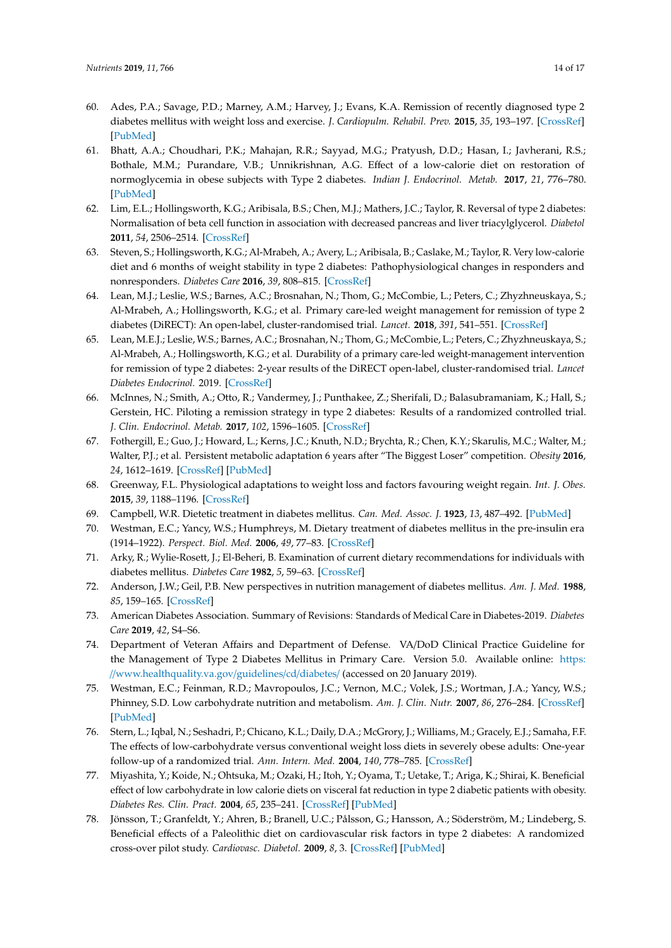- <span id="page-13-1"></span>60. Ades, P.A.; Savage, P.D.; Marney, A.M.; Harvey, J.; Evans, K.A. Remission of recently diagnosed type 2 diabetes mellitus with weight loss and exercise. *J. Cardiopulm. Rehabil. Prev.* **2015**, *35*, 193–197. [\[CrossRef\]](http://dx.doi.org/10.1097/HCR.0000000000000106) [\[PubMed\]](http://www.ncbi.nlm.nih.gov/pubmed/25636149)
- <span id="page-13-0"></span>61. Bhatt, A.A.; Choudhari, P.K.; Mahajan, R.R.; Sayyad, M.G.; Pratyush, D.D.; Hasan, I.; Javherani, R.S.; Bothale, M.M.; Purandare, V.B.; Unnikrishnan, A.G. Effect of a low-calorie diet on restoration of normoglycemia in obese subjects with Type 2 diabetes. *Indian J. Endocrinol. Metab.* **2017**, *21*, 776–780. [\[PubMed\]](http://www.ncbi.nlm.nih.gov/pubmed/28989891)
- <span id="page-13-2"></span>62. Lim, E.L.; Hollingsworth, K.G.; Aribisala, B.S.; Chen, M.J.; Mathers, J.C.; Taylor, R. Reversal of type 2 diabetes: Normalisation of beta cell function in association with decreased pancreas and liver triacylglycerol. *Diabetol* **2011**, *54*, 2506–2514. [\[CrossRef\]](http://dx.doi.org/10.1007/s00125-011-2204-7)
- <span id="page-13-3"></span>63. Steven, S.; Hollingsworth, K.G.; Al-Mrabeh, A.; Avery, L.; Aribisala, B.; Caslake, M.; Taylor, R. Very low-calorie diet and 6 months of weight stability in type 2 diabetes: Pathophysiological changes in responders and nonresponders. *Diabetes Care* **2016**, *39*, 808–815. [\[CrossRef\]](http://dx.doi.org/10.2337/dc15-1942)
- <span id="page-13-4"></span>64. Lean, M.J.; Leslie, W.S.; Barnes, A.C.; Brosnahan, N.; Thom, G.; McCombie, L.; Peters, C.; Zhyzhneuskaya, S.; Al-Mrabeh, A.; Hollingsworth, K.G.; et al. Primary care-led weight management for remission of type 2 diabetes (DiRECT): An open-label, cluster-randomised trial. *Lancet.* **2018**, *391*, 541–551. [\[CrossRef\]](http://dx.doi.org/10.1016/S0140-6736(17)33102-1)
- <span id="page-13-5"></span>65. Lean, M.E.J.; Leslie, W.S.; Barnes, A.C.; Brosnahan, N.; Thom, G.; McCombie, L.; Peters, C.; Zhyzhneuskaya, S.; Al-Mrabeh, A.; Hollingsworth, K.G.; et al. Durability of a primary care-led weight-management intervention for remission of type 2 diabetes: 2-year results of the DiRECT open-label, cluster-randomised trial. *Lancet Diabetes Endocrinol.* 2019. [\[CrossRef\]](http://dx.doi.org/10.1016/S2213-8587(19)30068-3)
- <span id="page-13-6"></span>66. McInnes, N.; Smith, A.; Otto, R.; Vandermey, J.; Punthakee, Z.; Sherifali, D.; Balasubramaniam, K.; Hall, S.; Gerstein, HC. Piloting a remission strategy in type 2 diabetes: Results of a randomized controlled trial. *J. Clin. Endocrinol. Metab.* **2017**, *102*, 1596–1605. [\[CrossRef\]](http://dx.doi.org/10.1210/jc.2016-3373)
- <span id="page-13-7"></span>67. Fothergill, E.; Guo, J.; Howard, L.; Kerns, J.C.; Knuth, N.D.; Brychta, R.; Chen, K.Y.; Skarulis, M.C.; Walter, M.; Walter, P.J.; et al. Persistent metabolic adaptation 6 years after "The Biggest Loser" competition. *Obesity* **2016**, *24*, 1612–1619. [\[CrossRef\]](http://dx.doi.org/10.1002/oby.21538) [\[PubMed\]](http://www.ncbi.nlm.nih.gov/pubmed/27136388)
- <span id="page-13-8"></span>68. Greenway, F.L. Physiological adaptations to weight loss and factors favouring weight regain. *Int. J. Obes.* **2015**, *39*, 1188–1196. [\[CrossRef\]](http://dx.doi.org/10.1038/ijo.2015.59)
- <span id="page-13-9"></span>69. Campbell, W.R. Dietetic treatment in diabetes mellitus. *Can. Med. Assoc. J.* **1923**, *13*, 487–492. [\[PubMed\]](http://www.ncbi.nlm.nih.gov/pubmed/20314727)
- <span id="page-13-10"></span>70. Westman, E.C.; Yancy, W.S.; Humphreys, M. Dietary treatment of diabetes mellitus in the pre-insulin era (1914–1922). *Perspect. Biol. Med.* **2006**, *49*, 77–83. [\[CrossRef\]](http://dx.doi.org/10.1353/pbm.2006.0017)
- <span id="page-13-11"></span>71. Arky, R.; Wylie-Rosett, J.; El-Beheri, B. Examination of current dietary recommendations for individuals with diabetes mellitus. *Diabetes Care* **1982**, *5*, 59–63. [\[CrossRef\]](http://dx.doi.org/10.2337/diacare.5.1.59)
- <span id="page-13-12"></span>72. Anderson, J.W.; Geil, P.B. New perspectives in nutrition management of diabetes mellitus. *Am. J. Med.* **1988**, *85*, 159–165. [\[CrossRef\]](http://dx.doi.org/10.1016/0002-9343(88)90410-X)
- <span id="page-13-13"></span>73. American Diabetes Association. Summary of Revisions: Standards of Medical Care in Diabetes-2019. *Diabetes Care* **2019**, *42*, S4–S6.
- <span id="page-13-14"></span>74. Department of Veteran Affairs and Department of Defense. VA/DoD Clinical Practice Guideline for the Management of Type 2 Diabetes Mellitus in Primary Care. Version 5.0. Available online: [https:](https://www.healthquality.va.gov/guidelines/cd/diabetes/) //[www.healthquality.va.gov](https://www.healthquality.va.gov/guidelines/cd/diabetes/)/guidelines/cd/diabetes/ (accessed on 20 January 2019).
- <span id="page-13-15"></span>75. Westman, E.C.; Feinman, R.D.; Mavropoulos, J.C.; Vernon, M.C.; Volek, J.S.; Wortman, J.A.; Yancy, W.S.; Phinney, S.D. Low carbohydrate nutrition and metabolism. *Am. J. Clin. Nutr.* **2007**, *86*, 276–284. [\[CrossRef\]](http://dx.doi.org/10.1093/ajcn/86.2.276) [\[PubMed\]](http://www.ncbi.nlm.nih.gov/pubmed/17684196)
- <span id="page-13-16"></span>76. Stern, L.; Iqbal, N.; Seshadri, P.; Chicano, K.L.; Daily, D.A.; McGrory, J.; Williams, M.; Gracely, E.J.; Samaha, F.F. The effects of low-carbohydrate versus conventional weight loss diets in severely obese adults: One-year follow-up of a randomized trial. *Ann. Intern. Med.* **2004**, *140*, 778–785. [\[CrossRef\]](http://dx.doi.org/10.7326/0003-4819-140-10-200405180-00007)
- 77. Miyashita, Y.; Koide, N.; Ohtsuka, M.; Ozaki, H.; Itoh, Y.; Oyama, T.; Uetake, T.; Ariga, K.; Shirai, K. Beneficial effect of low carbohydrate in low calorie diets on visceral fat reduction in type 2 diabetic patients with obesity. *Diabetes Res. Clin. Pract.* **2004**, *65*, 235–241. [\[CrossRef\]](http://dx.doi.org/10.1016/j.diabres.2004.01.008) [\[PubMed\]](http://www.ncbi.nlm.nih.gov/pubmed/15331203)
- 78. Jönsson, T.; Granfeldt, Y.; Ahren, B.; Branell, U.C.; Pålsson, G.; Hansson, A.; Söderström, M.; Lindeberg, S. Beneficial effects of a Paleolithic diet on cardiovascular risk factors in type 2 diabetes: A randomized cross-over pilot study. *Cardiovasc. Diabetol.* **2009**, *8*, 3. [\[CrossRef\]](http://dx.doi.org/10.1186/1475-2840-8-35) [\[PubMed\]](http://www.ncbi.nlm.nih.gov/pubmed/19604407)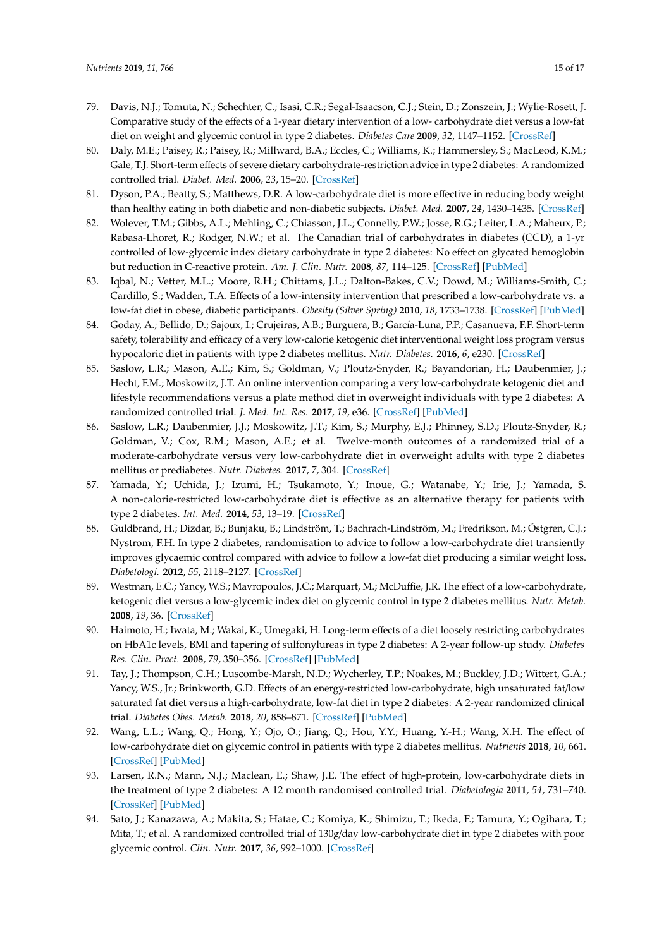- 79. Davis, N.J.; Tomuta, N.; Schechter, C.; Isasi, C.R.; Segal-Isaacson, C.J.; Stein, D.; Zonszein, J.; Wylie-Rosett, J. Comparative study of the effects of a 1-year dietary intervention of a low- carbohydrate diet versus a low-fat diet on weight and glycemic control in type 2 diabetes. *Diabetes Care* **2009**, *32*, 1147–1152. [\[CrossRef\]](http://dx.doi.org/10.2337/dc08-2108)
- <span id="page-14-0"></span>80. Daly, M.E.; Paisey, R.; Paisey, R.; Millward, B.A.; Eccles, C.; Williams, K.; Hammersley, S.; MacLeod, K.M.; Gale, T.J. Short-term effects of severe dietary carbohydrate-restriction advice in type 2 diabetes: A randomized controlled trial. *Diabet. Med.* **2006**, *23*, 15–20. [\[CrossRef\]](http://dx.doi.org/10.1111/j.1464-5491.2005.01760.x)
- 81. Dyson, P.A.; Beatty, S.; Matthews, D.R. A low-carbohydrate diet is more effective in reducing body weight than healthy eating in both diabetic and non-diabetic subjects. *Diabet. Med.* **2007**, *24*, 1430–1435. [\[CrossRef\]](http://dx.doi.org/10.1111/j.1464-5491.2007.02290.x)
- 82. Wolever, T.M.; Gibbs, A.L.; Mehling, C.; Chiasson, J.L.; Connelly, P.W.; Josse, R.G.; Leiter, L.A.; Maheux, P.; Rabasa-Lhoret, R.; Rodger, N.W.; et al. The Canadian trial of carbohydrates in diabetes (CCD), a 1-yr controlled of low-glycemic index dietary carbohydrate in type 2 diabetes: No effect on glycated hemoglobin but reduction in C-reactive protein. *Am. J. Clin. Nutr.* **2008**, *87*, 114–125. [\[CrossRef\]](http://dx.doi.org/10.1093/ajcn/87.1.114) [\[PubMed\]](http://www.ncbi.nlm.nih.gov/pubmed/18175744)
- 83. Iqbal, N.; Vetter, M.L.; Moore, R.H.; Chittams, J.L.; Dalton-Bakes, C.V.; Dowd, M.; Williams-Smith, C.; Cardillo, S.; Wadden, T.A. Effects of a low-intensity intervention that prescribed a low-carbohydrate vs. a low-fat diet in obese, diabetic participants. *Obesity (Silver Spring)* **2010**, *18*, 1733–1738. [\[CrossRef\]](http://dx.doi.org/10.1038/oby.2009.460) [\[PubMed\]](http://www.ncbi.nlm.nih.gov/pubmed/20019677)
- <span id="page-14-1"></span>84. Goday, A.; Bellido, D.; Sajoux, I.; Crujeiras, A.B.; Burguera, B.; García-Luna, P.P.; Casanueva, F.F. Short-term safety, tolerability and efficacy of a very low-calorie ketogenic diet interventional weight loss program versus hypocaloric diet in patients with type 2 diabetes mellitus. *Nutr. Diabetes.* **2016**, *6*, e230. [\[CrossRef\]](http://dx.doi.org/10.1038/nutd.2016.36)
- <span id="page-14-4"></span>85. Saslow, L.R.; Mason, A.E.; Kim, S.; Goldman, V.; Ploutz-Snyder, R.; Bayandorian, H.; Daubenmier, J.; Hecht, F.M.; Moskowitz, J.T. An online intervention comparing a very low-carbohydrate ketogenic diet and lifestyle recommendations versus a plate method diet in overweight individuals with type 2 diabetes: A randomized controlled trial. *J. Med. Int. Res.* **2017**, *19*, e36. [\[CrossRef\]](http://dx.doi.org/10.2196/jmir.5806) [\[PubMed\]](http://www.ncbi.nlm.nih.gov/pubmed/28193599)
- <span id="page-14-5"></span>86. Saslow, L.R.; Daubenmier, J.J.; Moskowitz, J.T.; Kim, S.; Murphy, E.J.; Phinney, S.D.; Ploutz-Snyder, R.; Goldman, V.; Cox, R.M.; Mason, A.E.; et al. Twelve-month outcomes of a randomized trial of a moderate-carbohydrate versus very low-carbohydrate diet in overweight adults with type 2 diabetes mellitus or prediabetes. *Nutr. Diabetes.* **2017**, *7*, 304. [\[CrossRef\]](http://dx.doi.org/10.1038/s41387-017-0006-9)
- <span id="page-14-7"></span>87. Yamada, Y.; Uchida, J.; Izumi, H.; Tsukamoto, Y.; Inoue, G.; Watanabe, Y.; Irie, J.; Yamada, S. A non-calorie-restricted low-carbohydrate diet is effective as an alternative therapy for patients with type 2 diabetes. *Int. Med.* **2014**, *53*, 13–19. [\[CrossRef\]](http://dx.doi.org/10.2169/internalmedicine.53.0861)
- 88. Guldbrand, H.; Dizdar, B.; Bunjaku, B.; Lindström, T.; Bachrach-Lindström, M.; Fredrikson, M.; Östgren, C.J.; Nystrom, F.H. In type 2 diabetes, randomisation to advice to follow a low-carbohydrate diet transiently improves glycaemic control compared with advice to follow a low-fat diet producing a similar weight loss. *Diabetologi.* **2012**, *55*, 2118–2127. [\[CrossRef\]](http://dx.doi.org/10.1007/s00125-012-2567-4)
- <span id="page-14-3"></span>89. Westman, E.C.; Yancy, W.S.; Mavropoulos, J.C.; Marquart, M.; McDuffie, J.R. The effect of a low-carbohydrate, ketogenic diet versus a low-glycemic index diet on glycemic control in type 2 diabetes mellitus. *Nutr. Metab.* **2008**, *19*, 36. [\[CrossRef\]](http://dx.doi.org/10.1186/1743-7075-5-36)
- 90. Haimoto, H.; Iwata, M.; Wakai, K.; Umegaki, H. Long-term effects of a diet loosely restricting carbohydrates on HbA1c levels, BMI and tapering of sulfonylureas in type 2 diabetes: A 2-year follow-up study. *Diabetes Res. Clin. Pract.* **2008**, *79*, 350–356. [\[CrossRef\]](http://dx.doi.org/10.1016/j.diabres.2007.09.009) [\[PubMed\]](http://www.ncbi.nlm.nih.gov/pubmed/17980451)
- <span id="page-14-6"></span>91. Tay, J.; Thompson, C.H.; Luscombe-Marsh, N.D.; Wycherley, T.P.; Noakes, M.; Buckley, J.D.; Wittert, G.A.; Yancy, W.S., Jr.; Brinkworth, G.D. Effects of an energy-restricted low-carbohydrate, high unsaturated fat/low saturated fat diet versus a high-carbohydrate, low-fat diet in type 2 diabetes: A 2-year randomized clinical trial. *Diabetes Obes. Metab.* **2018**, *20*, 858–871. [\[CrossRef\]](http://dx.doi.org/10.1111/dom.13164) [\[PubMed\]](http://www.ncbi.nlm.nih.gov/pubmed/29178536)
- <span id="page-14-2"></span>92. Wang, L.L.; Wang, Q.; Hong, Y.; Ojo, O.; Jiang, Q.; Hou, Y.Y.; Huang, Y.-H.; Wang, X.H. The effect of low-carbohydrate diet on glycemic control in patients with type 2 diabetes mellitus. *Nutrients* **2018**, *10*, 661. [\[CrossRef\]](http://dx.doi.org/10.3390/nu10060661) [\[PubMed\]](http://www.ncbi.nlm.nih.gov/pubmed/29882884)
- 93. Larsen, R.N.; Mann, N.J.; Maclean, E.; Shaw, J.E. The effect of high-protein, low-carbohydrate diets in the treatment of type 2 diabetes: A 12 month randomised controlled trial. *Diabetologia* **2011**, *54*, 731–740. [\[CrossRef\]](http://dx.doi.org/10.1007/s00125-010-2027-y) [\[PubMed\]](http://www.ncbi.nlm.nih.gov/pubmed/21246185)
- 94. Sato, J.; Kanazawa, A.; Makita, S.; Hatae, C.; Komiya, K.; Shimizu, T.; Ikeda, F.; Tamura, Y.; Ogihara, T.; Mita, T.; et al. A randomized controlled trial of 130g/day low-carbohydrate diet in type 2 diabetes with poor glycemic control. *Clin. Nutr.* **2017**, *36*, 992–1000. [\[CrossRef\]](http://dx.doi.org/10.1016/j.clnu.2016.07.003)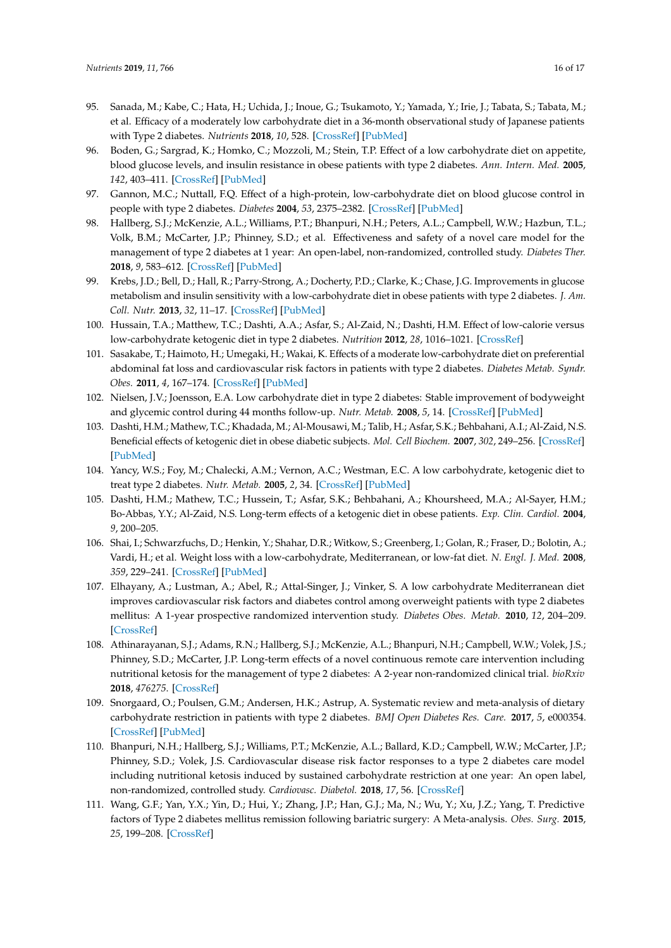- 95. Sanada, M.; Kabe, C.; Hata, H.; Uchida, J.; Inoue, G.; Tsukamoto, Y.; Yamada, Y.; Irie, J.; Tabata, S.; Tabata, M.; et al. Efficacy of a moderately low carbohydrate diet in a 36-month observational study of Japanese patients with Type 2 diabetes. *Nutrients* **2018**, *10*, 528. [\[CrossRef\]](http://dx.doi.org/10.3390/nu10050528) [\[PubMed\]](http://www.ncbi.nlm.nih.gov/pubmed/29695055)
- <span id="page-15-3"></span>96. Boden, G.; Sargrad, K.; Homko, C.; Mozzoli, M.; Stein, T.P. Effect of a low carbohydrate diet on appetite, blood glucose levels, and insulin resistance in obese patients with type 2 diabetes. *Ann. Intern. Med.* **2005**, *142*, 403–411. [\[CrossRef\]](http://dx.doi.org/10.7326/0003-4819-142-6-200503150-00006) [\[PubMed\]](http://www.ncbi.nlm.nih.gov/pubmed/15767618)
- <span id="page-15-1"></span>97. Gannon, M.C.; Nuttall, F.Q. Effect of a high-protein, low-carbohydrate diet on blood glucose control in people with type 2 diabetes. *Diabetes* **2004**, *53*, 2375–2382. [\[CrossRef\]](http://dx.doi.org/10.2337/diabetes.53.9.2375) [\[PubMed\]](http://www.ncbi.nlm.nih.gov/pubmed/15331548)
- <span id="page-15-4"></span>98. Hallberg, S.J.; McKenzie, A.L.; Williams, P.T.; Bhanpuri, N.H.; Peters, A.L.; Campbell, W.W.; Hazbun, T.L.; Volk, B.M.; McCarter, J.P.; Phinney, S.D.; et al. Effectiveness and safety of a novel care model for the management of type 2 diabetes at 1 year: An open-label, non-randomized, controlled study. *Diabetes Ther.* **2018**, *9*, 583–612. [\[CrossRef\]](http://dx.doi.org/10.1007/s13300-018-0373-9) [\[PubMed\]](http://www.ncbi.nlm.nih.gov/pubmed/29417495)
- <span id="page-15-10"></span>99. Krebs, J.D.; Bell, D.; Hall, R.; Parry-Strong, A.; Docherty, P.D.; Clarke, K.; Chase, J.G. Improvements in glucose metabolism and insulin sensitivity with a low-carbohydrate diet in obese patients with type 2 diabetes. *J. Am. Coll. Nutr.* **2013**, *32*, 11–17. [\[CrossRef\]](http://dx.doi.org/10.1080/07315724.2013.767630) [\[PubMed\]](http://www.ncbi.nlm.nih.gov/pubmed/24015695)
- <span id="page-15-9"></span>100. Hussain, T.A.; Matthew, T.C.; Dashti, A.A.; Asfar, S.; Al-Zaid, N.; Dashti, H.M. Effect of low-calorie versus low-carbohydrate ketogenic diet in type 2 diabetes. *Nutrition* **2012**, *28*, 1016–1021. [\[CrossRef\]](http://dx.doi.org/10.1016/j.nut.2012.01.016)
- 101. Sasakabe, T.; Haimoto, H.; Umegaki, H.; Wakai, K. Effects of a moderate low-carbohydrate diet on preferential abdominal fat loss and cardiovascular risk factors in patients with type 2 diabetes. *Diabetes Metab. Syndr. Obes.* **2011**, *4*, 167–174. [\[CrossRef\]](http://dx.doi.org/10.2147/DMSO.S19635) [\[PubMed\]](http://www.ncbi.nlm.nih.gov/pubmed/21779148)
- 102. Nielsen, J.V.; Joensson, E.A. Low carbohydrate diet in type 2 diabetes: Stable improvement of bodyweight and glycemic control during 44 months follow-up. *Nutr. Metab.* **2008**, *5*, 14. [\[CrossRef\]](http://dx.doi.org/10.1186/1743-7075-5-14) [\[PubMed\]](http://www.ncbi.nlm.nih.gov/pubmed/18495047)
- 103. Dashti, H.M.; Mathew, T.C.; Khadada, M.; Al-Mousawi, M.; Talib, H.; Asfar, S.K.; Behbahani, A.I.; Al-Zaid, N.S. Beneficial effects of ketogenic diet in obese diabetic subjects. *Mol. Cell Biochem.* **2007**, *302*, 249–256. [\[CrossRef\]](http://dx.doi.org/10.1007/s11010-007-9448-z) [\[PubMed\]](http://www.ncbi.nlm.nih.gov/pubmed/17447017)
- 104. Yancy, W.S.; Foy, M.; Chalecki, A.M.; Vernon, A.C.; Westman, E.C. A low carbohydrate, ketogenic diet to treat type 2 diabetes. *Nutr. Metab.* **2005**, *2*, 34. [\[CrossRef\]](http://dx.doi.org/10.1186/1743-7075-2-34) [\[PubMed\]](http://www.ncbi.nlm.nih.gov/pubmed/16318637)
- 105. Dashti, H.M.; Mathew, T.C.; Hussein, T.; Asfar, S.K.; Behbahani, A.; Khoursheed, M.A.; Al-Sayer, H.M.; Bo-Abbas, Y.Y.; Al-Zaid, N.S. Long-term effects of a ketogenic diet in obese patients. *Exp. Clin. Cardiol.* **2004**, *9*, 200–205.
- <span id="page-15-6"></span>106. Shai, I.; Schwarzfuchs, D.; Henkin, Y.; Shahar, D.R.; Witkow, S.; Greenberg, I.; Golan, R.; Fraser, D.; Bolotin, A.; Vardi, H.; et al. Weight loss with a low-carbohydrate, Mediterranean, or low-fat diet. *N. Engl. J. Med.* **2008**, *359*, 229–241. [\[CrossRef\]](http://dx.doi.org/10.1056/NEJMoa0708681) [\[PubMed\]](http://www.ncbi.nlm.nih.gov/pubmed/18635428)
- <span id="page-15-8"></span>107. Elhayany, A.; Lustman, A.; Abel, R.; Attal-Singer, J.; Vinker, S. A low carbohydrate Mediterranean diet improves cardiovascular risk factors and diabetes control among overweight patients with type 2 diabetes mellitus: A 1-year prospective randomized intervention study. *Diabetes Obes. Metab.* **2010**, *12*, 204–209. [\[CrossRef\]](http://dx.doi.org/10.1111/j.1463-1326.2009.01151.x)
- <span id="page-15-0"></span>108. Athinarayanan, S.J.; Adams, R.N.; Hallberg, S.J.; McKenzie, A.L.; Bhanpuri, N.H.; Campbell, W.W.; Volek, J.S.; Phinney, S.D.; McCarter, J.P. Long-term effects of a novel continuous remote care intervention including nutritional ketosis for the management of type 2 diabetes: A 2-year non-randomized clinical trial. *bioRxiv* **2018**, *476275*. [\[CrossRef\]](http://dx.doi.org/10.1101/476275)
- <span id="page-15-2"></span>109. Snorgaard, O.; Poulsen, G.M.; Andersen, H.K.; Astrup, A. Systematic review and meta-analysis of dietary carbohydrate restriction in patients with type 2 diabetes. *BMJ Open Diabetes Res. Care.* **2017**, *5*, e000354. [\[CrossRef\]](http://dx.doi.org/10.1136/bmjdrc-2016-000354) [\[PubMed\]](http://www.ncbi.nlm.nih.gov/pubmed/28316796)
- <span id="page-15-5"></span>110. Bhanpuri, N.H.; Hallberg, S.J.; Williams, P.T.; McKenzie, A.L.; Ballard, K.D.; Campbell, W.W.; McCarter, J.P.; Phinney, S.D.; Volek, J.S. Cardiovascular disease risk factor responses to a type 2 diabetes care model including nutritional ketosis induced by sustained carbohydrate restriction at one year: An open label, non-randomized, controlled study. *Cardiovasc. Diabetol.* **2018**, *17*, 56. [\[CrossRef\]](http://dx.doi.org/10.1186/s12933-018-0698-8)
- <span id="page-15-7"></span>111. Wang, G.F.; Yan, Y.X.; Yin, D.; Hui, Y.; Zhang, J.P.; Han, G.J.; Ma, N.; Wu, Y.; Xu, J.Z.; Yang, T. Predictive factors of Type 2 diabetes mellitus remission following bariatric surgery: A Meta-analysis. *Obes. Surg.* **2015**, *25*, 199–208. [\[CrossRef\]](http://dx.doi.org/10.1007/s11695-014-1391-y)